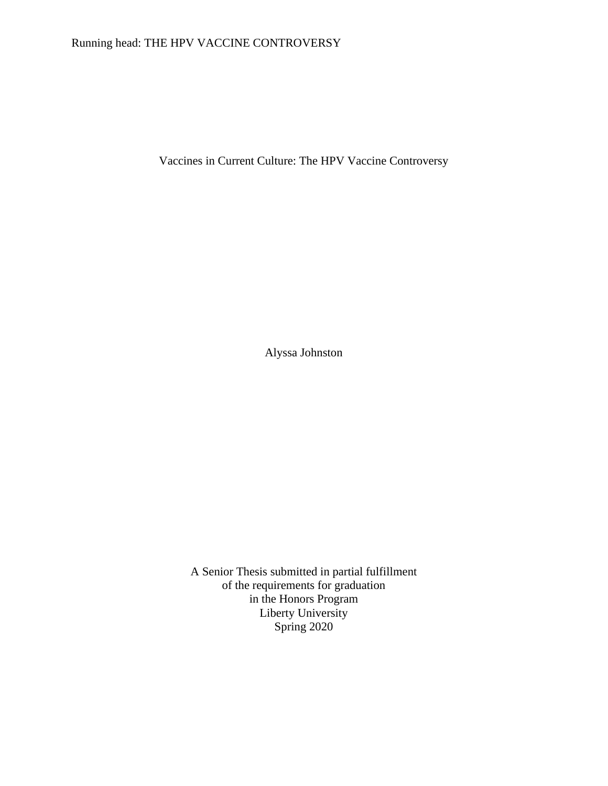# Running head: THE HPV VACCINE CONTROVERSY

Vaccines in Current Culture: The HPV Vaccine Controversy

Alyssa Johnston

A Senior Thesis submitted in partial fulfillment of the requirements for graduation in the Honors Program Liberty University Spring 2020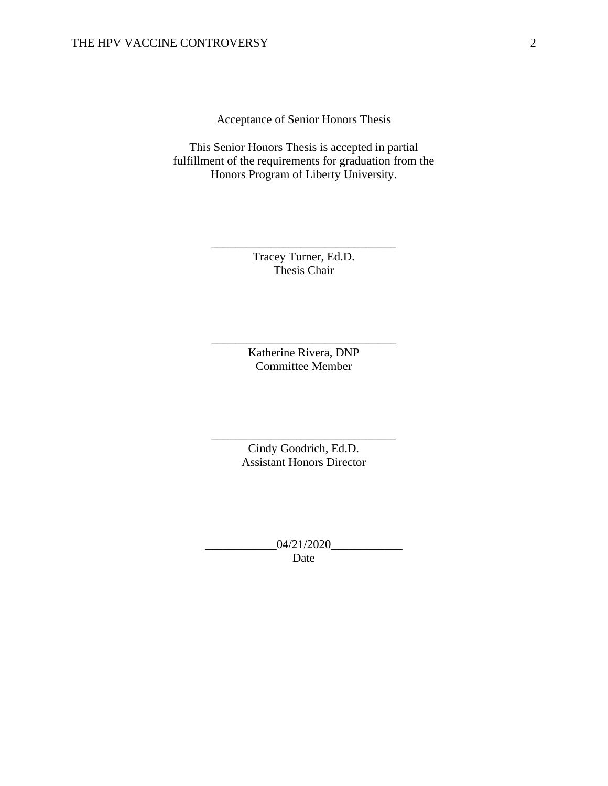Acceptance of Senior Honors Thesis

This Senior Honors Thesis is accepted in partial fulfillment of the requirements for graduation from the Honors Program of Liberty University.

> Tracey Turner, Ed.D. Thesis Chair

\_\_\_\_\_\_\_\_\_\_\_\_\_\_\_\_\_\_\_\_\_\_\_\_\_\_\_\_\_\_\_

Katherine Rivera, DNP Committee Member

\_\_\_\_\_\_\_\_\_\_\_\_\_\_\_\_\_\_\_\_\_\_\_\_\_\_\_\_\_\_\_

Cindy Goodrich, Ed.D. Assistant Honors Director

\_\_\_\_\_\_\_\_\_\_\_\_\_\_\_\_\_\_\_\_\_\_\_\_\_\_\_\_\_\_\_

\_\_\_\_\_\_\_\_\_\_\_\_04/21/2020\_\_\_\_\_\_\_\_\_\_\_\_ Date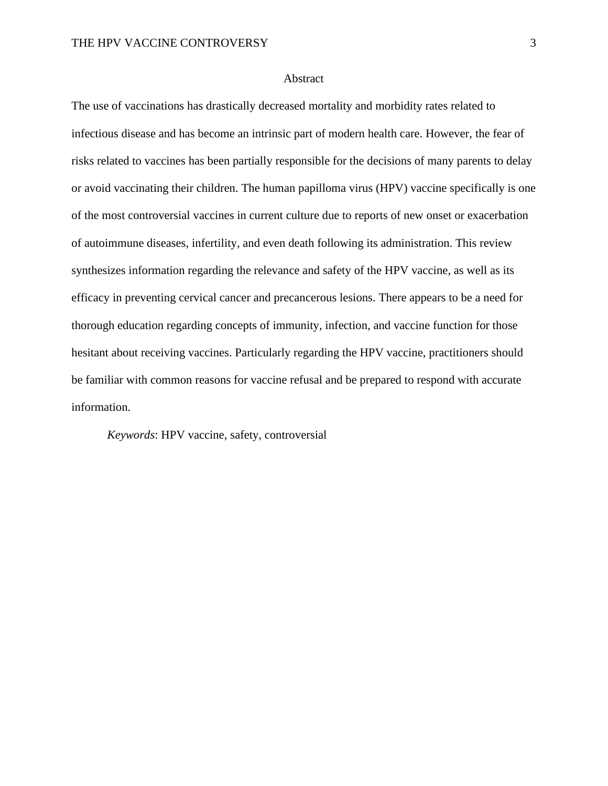## **Abstract**

The use of vaccinations has drastically decreased mortality and morbidity rates related to infectious disease and has become an intrinsic part of modern health care. However, the fear of risks related to vaccines has been partially responsible for the decisions of many parents to delay or avoid vaccinating their children. The human papilloma virus (HPV) vaccine specifically is one of the most controversial vaccines in current culture due to reports of new onset or exacerbation of autoimmune diseases, infertility, and even death following its administration. This review synthesizes information regarding the relevance and safety of the HPV vaccine, as well as its efficacy in preventing cervical cancer and precancerous lesions. There appears to be a need for thorough education regarding concepts of immunity, infection, and vaccine function for those hesitant about receiving vaccines. Particularly regarding the HPV vaccine, practitioners should be familiar with common reasons for vaccine refusal and be prepared to respond with accurate information.

*Keywords*: HPV vaccine, safety, controversial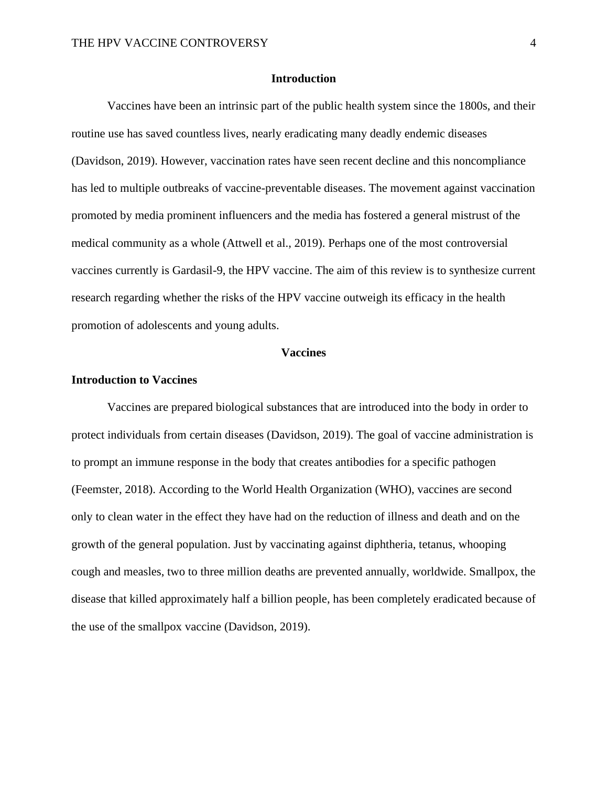# **Introduction**

Vaccines have been an intrinsic part of the public health system since the 1800s, and their routine use has saved countless lives, nearly eradicating many deadly endemic diseases (Davidson, 2019). However, vaccination rates have seen recent decline and this noncompliance has led to multiple outbreaks of vaccine-preventable diseases. The movement against vaccination promoted by media prominent influencers and the media has fostered a general mistrust of the medical community as a whole (Attwell et al., 2019). Perhaps one of the most controversial vaccines currently is Gardasil-9, the HPV vaccine. The aim of this review is to synthesize current research regarding whether the risks of the HPV vaccine outweigh its efficacy in the health promotion of adolescents and young adults.

#### **Vaccines**

## **Introduction to Vaccines**

Vaccines are prepared biological substances that are introduced into the body in order to protect individuals from certain diseases (Davidson, 2019). The goal of vaccine administration is to prompt an immune response in the body that creates antibodies for a specific pathogen (Feemster, 2018). According to the World Health Organization (WHO), vaccines are second only to clean water in the effect they have had on the reduction of illness and death and on the growth of the general population. Just by vaccinating against diphtheria, tetanus, whooping cough and measles, two to three million deaths are prevented annually, worldwide. Smallpox, the disease that killed approximately half a billion people, has been completely eradicated because of the use of the smallpox vaccine (Davidson, 2019).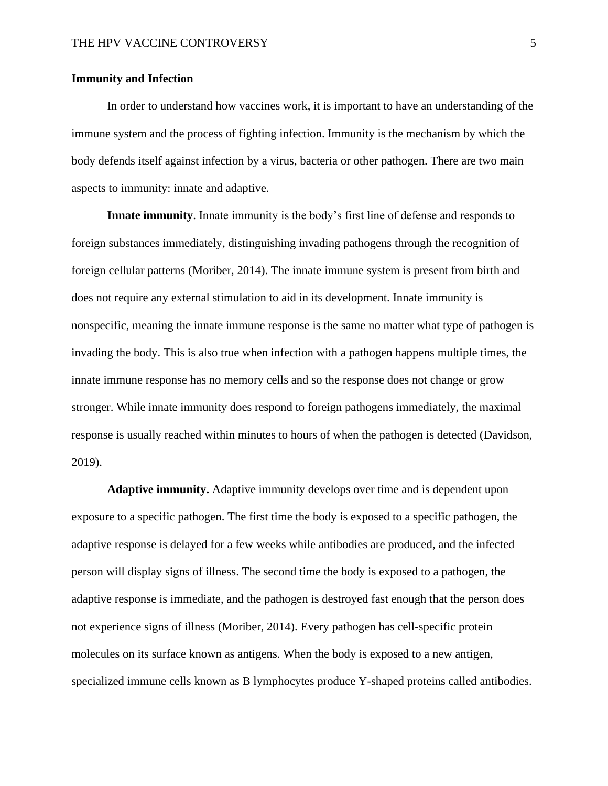# **Immunity and Infection**

In order to understand how vaccines work, it is important to have an understanding of the immune system and the process of fighting infection. Immunity is the mechanism by which the body defends itself against infection by a virus, bacteria or other pathogen. There are two main aspects to immunity: innate and adaptive.

**Innate immunity**. Innate immunity is the body's first line of defense and responds to foreign substances immediately, distinguishing invading pathogens through the recognition of foreign cellular patterns (Moriber, 2014). The innate immune system is present from birth and does not require any external stimulation to aid in its development. Innate immunity is nonspecific, meaning the innate immune response is the same no matter what type of pathogen is invading the body. This is also true when infection with a pathogen happens multiple times, the innate immune response has no memory cells and so the response does not change or grow stronger. While innate immunity does respond to foreign pathogens immediately, the maximal response is usually reached within minutes to hours of when the pathogen is detected (Davidson, 2019).

**Adaptive immunity.** Adaptive immunity develops over time and is dependent upon exposure to a specific pathogen. The first time the body is exposed to a specific pathogen, the adaptive response is delayed for a few weeks while antibodies are produced, and the infected person will display signs of illness. The second time the body is exposed to a pathogen, the adaptive response is immediate, and the pathogen is destroyed fast enough that the person does not experience signs of illness (Moriber, 2014). Every pathogen has cell-specific protein molecules on its surface known as antigens. When the body is exposed to a new antigen, specialized immune cells known as B lymphocytes produce Y-shaped proteins called antibodies.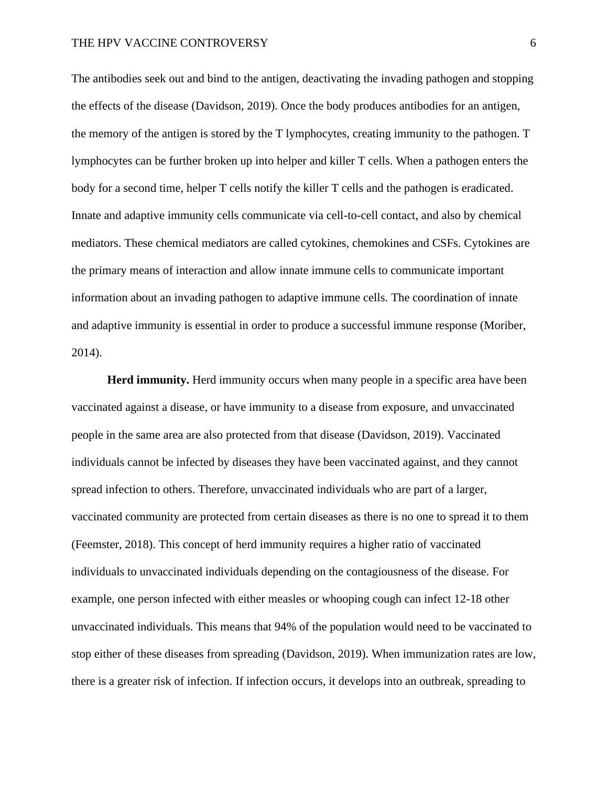The antibodies seek out and bind to the antigen, deactivating the invading pathogen and stopping the effects of the disease (Davidson, 2019). Once the body produces antibodies for an antigen, the memory of the antigen is stored by the T lymphocytes, creating immunity to the pathogen. T lymphocytes can be further broken up into helper and killer T cells. When a pathogen enters the body for a second time, helper T cells notify the killer T cells and the pathogen is eradicated. Innate and adaptive immunity cells communicate via cell-to-cell contact, and also by chemical mediators. These chemical mediators are called cytokines, chemokines and CSFs. Cytokines are the primary means of interaction and allow innate immune cells to communicate important information about an invading pathogen to adaptive immune cells. The coordination of innate and adaptive immunity is essential in order to produce a successful immune response (Moriber, 2014).

**Herd immunity.** Herd immunity occurs when many people in a specific area have been vaccinated against a disease, or have immunity to a disease from exposure, and unvaccinated people in the same area are also protected from that disease (Davidson, 2019). Vaccinated individuals cannot be infected by diseases they have been vaccinated against, and they cannot spread infection to others. Therefore, unvaccinated individuals who are part of a larger, vaccinated community are protected from certain diseases as there is no one to spread it to them (Feemster, 2018). This concept of herd immunity requires a higher ratio of vaccinated individuals to unvaccinated individuals depending on the contagiousness of the disease. For example, one person infected with either measles or whooping cough can infect 12-18 other unvaccinated individuals. This means that 94% of the population would need to be vaccinated to stop either of these diseases from spreading (Davidson, 2019). When immunization rates are low, there is a greater risk of infection. If infection occurs, it develops into an outbreak, spreading to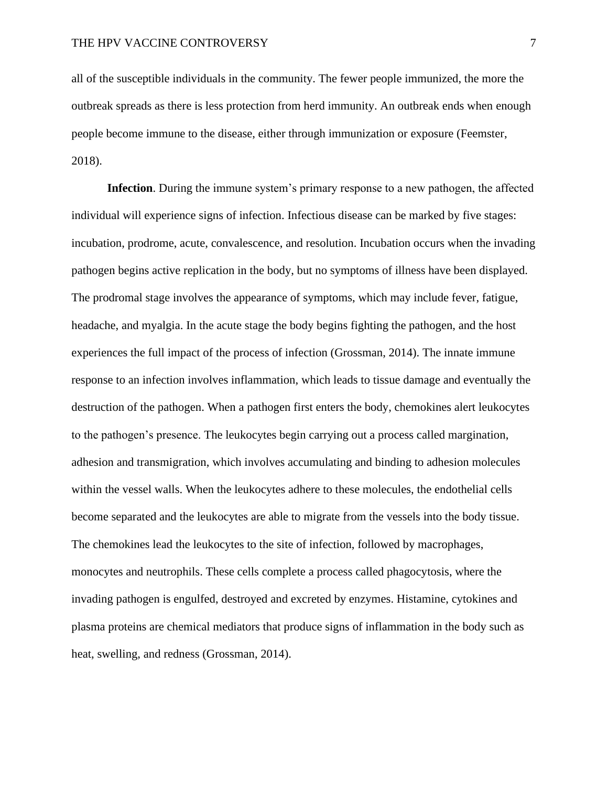all of the susceptible individuals in the community. The fewer people immunized, the more the outbreak spreads as there is less protection from herd immunity. An outbreak ends when enough people become immune to the disease, either through immunization or exposure (Feemster, 2018).

**Infection**. During the immune system's primary response to a new pathogen, the affected individual will experience signs of infection. Infectious disease can be marked by five stages: incubation, prodrome, acute, convalescence, and resolution. Incubation occurs when the invading pathogen begins active replication in the body, but no symptoms of illness have been displayed. The prodromal stage involves the appearance of symptoms, which may include fever, fatigue, headache, and myalgia. In the acute stage the body begins fighting the pathogen, and the host experiences the full impact of the process of infection (Grossman, 2014). The innate immune response to an infection involves inflammation, which leads to tissue damage and eventually the destruction of the pathogen. When a pathogen first enters the body, chemokines alert leukocytes to the pathogen's presence. The leukocytes begin carrying out a process called margination, adhesion and transmigration, which involves accumulating and binding to adhesion molecules within the vessel walls. When the leukocytes adhere to these molecules, the endothelial cells become separated and the leukocytes are able to migrate from the vessels into the body tissue. The chemokines lead the leukocytes to the site of infection, followed by macrophages, monocytes and neutrophils. These cells complete a process called phagocytosis, where the invading pathogen is engulfed, destroyed and excreted by enzymes. Histamine, cytokines and plasma proteins are chemical mediators that produce signs of inflammation in the body such as heat, swelling, and redness (Grossman, 2014).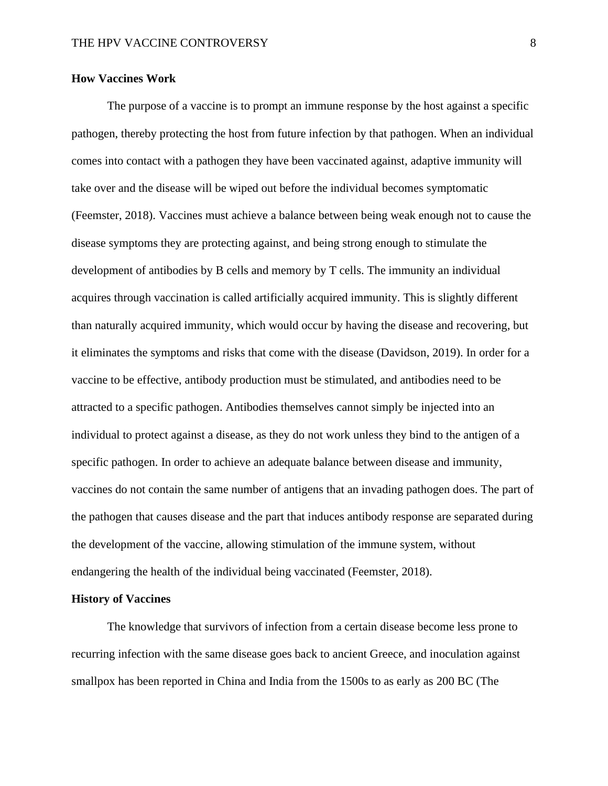# **How Vaccines Work**

The purpose of a vaccine is to prompt an immune response by the host against a specific pathogen, thereby protecting the host from future infection by that pathogen. When an individual comes into contact with a pathogen they have been vaccinated against, adaptive immunity will take over and the disease will be wiped out before the individual becomes symptomatic (Feemster, 2018). Vaccines must achieve a balance between being weak enough not to cause the disease symptoms they are protecting against, and being strong enough to stimulate the development of antibodies by B cells and memory by T cells. The immunity an individual acquires through vaccination is called artificially acquired immunity. This is slightly different than naturally acquired immunity, which would occur by having the disease and recovering, but it eliminates the symptoms and risks that come with the disease (Davidson, 2019). In order for a vaccine to be effective, antibody production must be stimulated, and antibodies need to be attracted to a specific pathogen. Antibodies themselves cannot simply be injected into an individual to protect against a disease, as they do not work unless they bind to the antigen of a specific pathogen. In order to achieve an adequate balance between disease and immunity, vaccines do not contain the same number of antigens that an invading pathogen does. The part of the pathogen that causes disease and the part that induces antibody response are separated during the development of the vaccine, allowing stimulation of the immune system, without endangering the health of the individual being vaccinated (Feemster, 2018).

#### **History of Vaccines**

The knowledge that survivors of infection from a certain disease become less prone to recurring infection with the same disease goes back to ancient Greece, and inoculation against smallpox has been reported in China and India from the 1500s to as early as 200 BC (The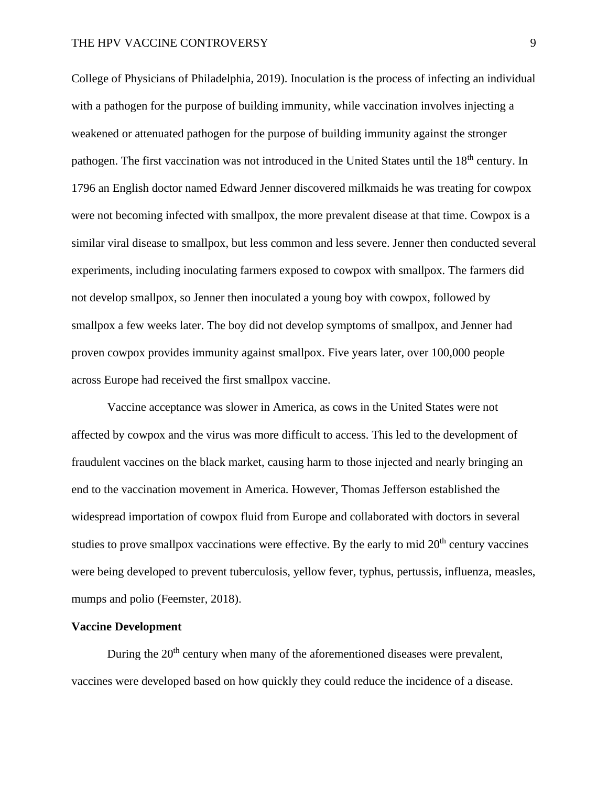# THE HPV VACCINE CONTROVERSY 9

College of Physicians of Philadelphia, 2019). Inoculation is the process of infecting an individual with a pathogen for the purpose of building immunity, while vaccination involves injecting a weakened or attenuated pathogen for the purpose of building immunity against the stronger pathogen. The first vaccination was not introduced in the United States until the 18<sup>th</sup> century. In 1796 an English doctor named Edward Jenner discovered milkmaids he was treating for cowpox were not becoming infected with smallpox, the more prevalent disease at that time. Cowpox is a similar viral disease to smallpox, but less common and less severe. Jenner then conducted several experiments, including inoculating farmers exposed to cowpox with smallpox. The farmers did not develop smallpox, so Jenner then inoculated a young boy with cowpox, followed by smallpox a few weeks later. The boy did not develop symptoms of smallpox, and Jenner had proven cowpox provides immunity against smallpox. Five years later, over 100,000 people across Europe had received the first smallpox vaccine.

Vaccine acceptance was slower in America, as cows in the United States were not affected by cowpox and the virus was more difficult to access. This led to the development of fraudulent vaccines on the black market, causing harm to those injected and nearly bringing an end to the vaccination movement in America. However, Thomas Jefferson established the widespread importation of cowpox fluid from Europe and collaborated with doctors in several studies to prove smallpox vaccinations were effective. By the early to mid  $20<sup>th</sup>$  century vaccines were being developed to prevent tuberculosis, yellow fever, typhus, pertussis, influenza, measles, mumps and polio (Feemster, 2018).

# **Vaccine Development**

During the  $20<sup>th</sup>$  century when many of the aforementioned diseases were prevalent, vaccines were developed based on how quickly they could reduce the incidence of a disease.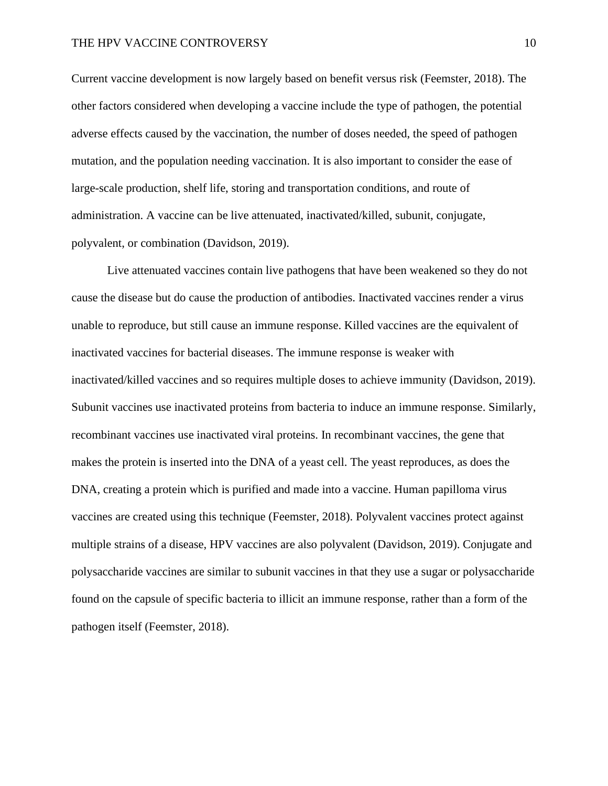# THE HPV VACCINE CONTROVERSY 10

Current vaccine development is now largely based on benefit versus risk (Feemster, 2018). The other factors considered when developing a vaccine include the type of pathogen, the potential adverse effects caused by the vaccination, the number of doses needed, the speed of pathogen mutation, and the population needing vaccination. It is also important to consider the ease of large-scale production, shelf life, storing and transportation conditions, and route of administration. A vaccine can be live attenuated, inactivated/killed, subunit, conjugate, polyvalent, or combination (Davidson, 2019).

Live attenuated vaccines contain live pathogens that have been weakened so they do not cause the disease but do cause the production of antibodies. Inactivated vaccines render a virus unable to reproduce, but still cause an immune response. Killed vaccines are the equivalent of inactivated vaccines for bacterial diseases. The immune response is weaker with inactivated/killed vaccines and so requires multiple doses to achieve immunity (Davidson, 2019). Subunit vaccines use inactivated proteins from bacteria to induce an immune response. Similarly, recombinant vaccines use inactivated viral proteins. In recombinant vaccines, the gene that makes the protein is inserted into the DNA of a yeast cell. The yeast reproduces, as does the DNA, creating a protein which is purified and made into a vaccine. Human papilloma virus vaccines are created using this technique (Feemster, 2018). Polyvalent vaccines protect against multiple strains of a disease, HPV vaccines are also polyvalent (Davidson, 2019). Conjugate and polysaccharide vaccines are similar to subunit vaccines in that they use a sugar or polysaccharide found on the capsule of specific bacteria to illicit an immune response, rather than a form of the pathogen itself (Feemster, 2018).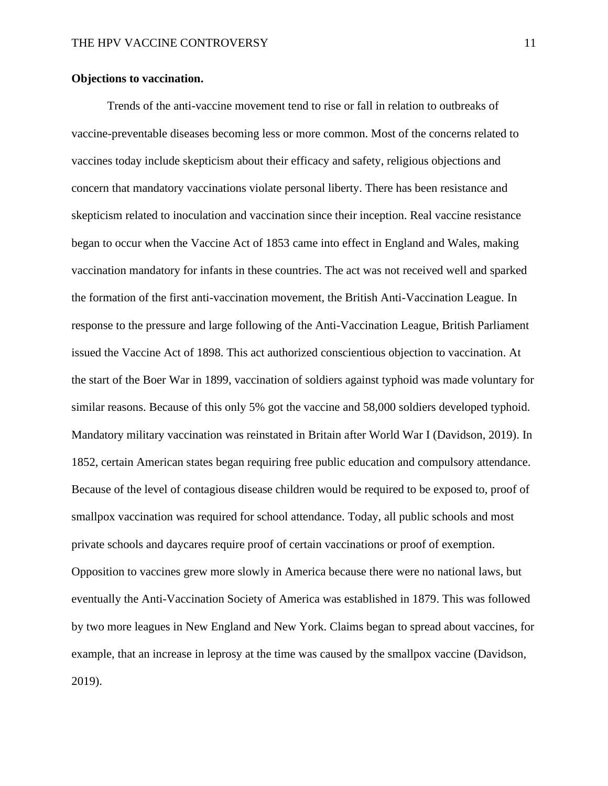# **Objections to vaccination.**

Trends of the anti-vaccine movement tend to rise or fall in relation to outbreaks of vaccine-preventable diseases becoming less or more common. Most of the concerns related to vaccines today include skepticism about their efficacy and safety, religious objections and concern that mandatory vaccinations violate personal liberty. There has been resistance and skepticism related to inoculation and vaccination since their inception. Real vaccine resistance began to occur when the Vaccine Act of 1853 came into effect in England and Wales, making vaccination mandatory for infants in these countries. The act was not received well and sparked the formation of the first anti-vaccination movement, the British Anti-Vaccination League. In response to the pressure and large following of the Anti-Vaccination League, British Parliament issued the Vaccine Act of 1898. This act authorized conscientious objection to vaccination. At the start of the Boer War in 1899, vaccination of soldiers against typhoid was made voluntary for similar reasons. Because of this only 5% got the vaccine and 58,000 soldiers developed typhoid. Mandatory military vaccination was reinstated in Britain after World War I (Davidson, 2019). In 1852, certain American states began requiring free public education and compulsory attendance. Because of the level of contagious disease children would be required to be exposed to, proof of smallpox vaccination was required for school attendance. Today, all public schools and most private schools and daycares require proof of certain vaccinations or proof of exemption. Opposition to vaccines grew more slowly in America because there were no national laws, but eventually the Anti-Vaccination Society of America was established in 1879. This was followed by two more leagues in New England and New York. Claims began to spread about vaccines, for example, that an increase in leprosy at the time was caused by the smallpox vaccine (Davidson, 2019).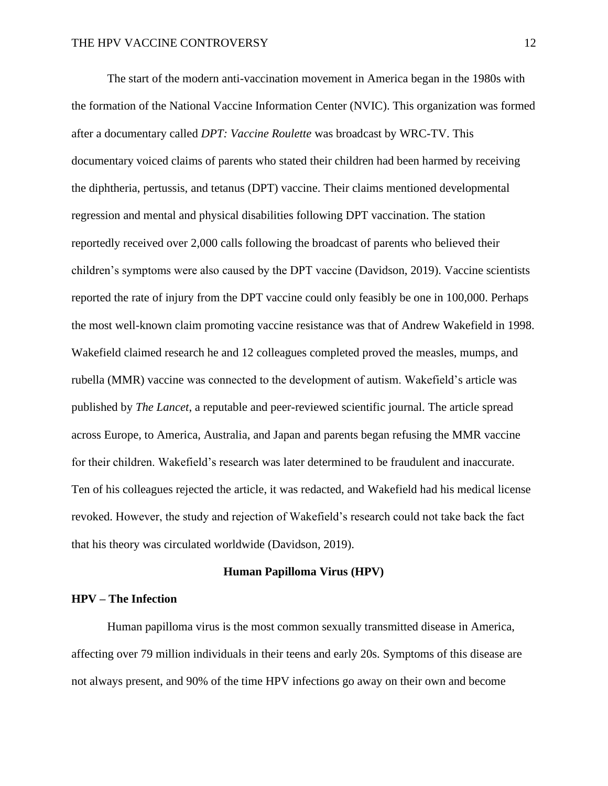The start of the modern anti-vaccination movement in America began in the 1980s with the formation of the National Vaccine Information Center (NVIC). This organization was formed after a documentary called *DPT: Vaccine Roulette* was broadcast by WRC-TV. This documentary voiced claims of parents who stated their children had been harmed by receiving the diphtheria, pertussis, and tetanus (DPT) vaccine. Their claims mentioned developmental regression and mental and physical disabilities following DPT vaccination. The station reportedly received over 2,000 calls following the broadcast of parents who believed their children's symptoms were also caused by the DPT vaccine (Davidson, 2019). Vaccine scientists reported the rate of injury from the DPT vaccine could only feasibly be one in 100,000. Perhaps the most well-known claim promoting vaccine resistance was that of Andrew Wakefield in 1998. Wakefield claimed research he and 12 colleagues completed proved the measles, mumps, and rubella (MMR) vaccine was connected to the development of autism. Wakefield's article was published by *The Lancet*, a reputable and peer-reviewed scientific journal. The article spread across Europe, to America, Australia, and Japan and parents began refusing the MMR vaccine for their children. Wakefield's research was later determined to be fraudulent and inaccurate. Ten of his colleagues rejected the article, it was redacted, and Wakefield had his medical license revoked. However, the study and rejection of Wakefield's research could not take back the fact that his theory was circulated worldwide (Davidson, 2019).

#### **Human Papilloma Virus (HPV)**

# **HPV – The Infection**

Human papilloma virus is the most common sexually transmitted disease in America, affecting over 79 million individuals in their teens and early 20s. Symptoms of this disease are not always present, and 90% of the time HPV infections go away on their own and become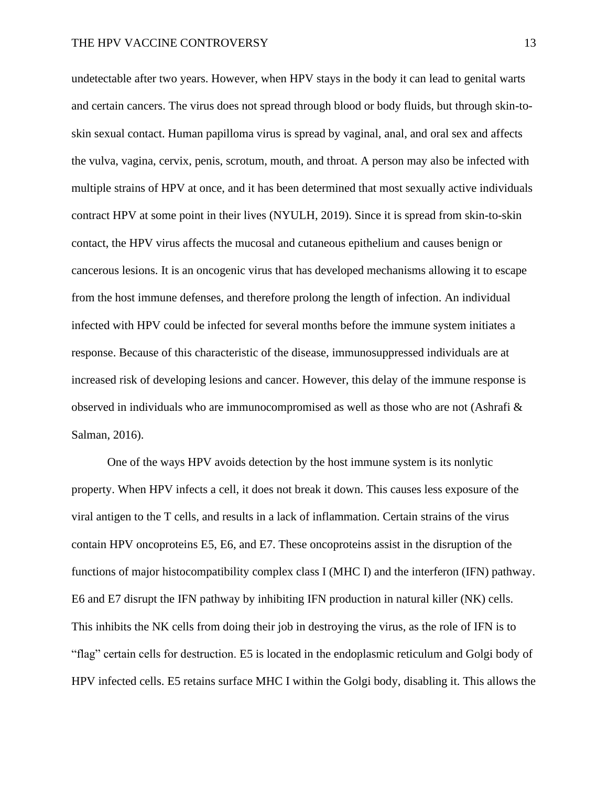undetectable after two years. However, when HPV stays in the body it can lead to genital warts and certain cancers. The virus does not spread through blood or body fluids, but through skin-toskin sexual contact. Human papilloma virus is spread by vaginal, anal, and oral sex and affects the vulva, vagina, cervix, penis, scrotum, mouth, and throat. A person may also be infected with multiple strains of HPV at once, and it has been determined that most sexually active individuals contract HPV at some point in their lives (NYULH, 2019). Since it is spread from skin-to-skin contact, the HPV virus affects the mucosal and cutaneous epithelium and causes benign or cancerous lesions. It is an oncogenic virus that has developed mechanisms allowing it to escape from the host immune defenses, and therefore prolong the length of infection. An individual infected with HPV could be infected for several months before the immune system initiates a response. Because of this characteristic of the disease, immunosuppressed individuals are at increased risk of developing lesions and cancer. However, this delay of the immune response is observed in individuals who are immunocompromised as well as those who are not (Ashrafi & Salman, 2016).

One of the ways HPV avoids detection by the host immune system is its nonlytic property. When HPV infects a cell, it does not break it down. This causes less exposure of the viral antigen to the T cells, and results in a lack of inflammation. Certain strains of the virus contain HPV oncoproteins E5, E6, and E7. These oncoproteins assist in the disruption of the functions of major histocompatibility complex class I (MHC I) and the interferon (IFN) pathway. E6 and E7 disrupt the IFN pathway by inhibiting IFN production in natural killer (NK) cells. This inhibits the NK cells from doing their job in destroying the virus, as the role of IFN is to "flag" certain cells for destruction. E5 is located in the endoplasmic reticulum and Golgi body of HPV infected cells. E5 retains surface MHC I within the Golgi body, disabling it. This allows the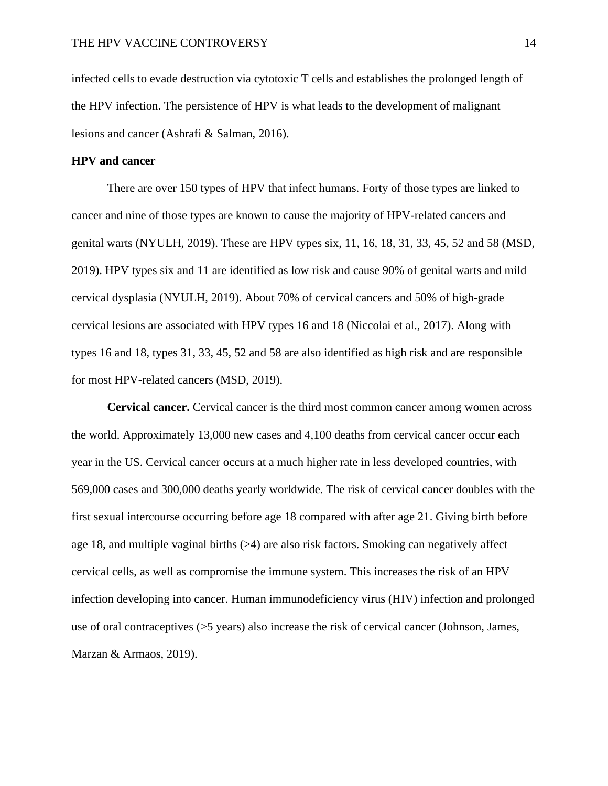infected cells to evade destruction via cytotoxic T cells and establishes the prolonged length of the HPV infection. The persistence of HPV is what leads to the development of malignant lesions and cancer (Ashrafi & Salman, 2016).

# **HPV and cancer**

There are over 150 types of HPV that infect humans. Forty of those types are linked to cancer and nine of those types are known to cause the majority of HPV-related cancers and genital warts (NYULH, 2019). These are HPV types six, 11, 16, 18, 31, 33, 45, 52 and 58 (MSD, 2019). HPV types six and 11 are identified as low risk and cause 90% of genital warts and mild cervical dysplasia (NYULH, 2019). About 70% of cervical cancers and 50% of high-grade cervical lesions are associated with HPV types 16 and 18 (Niccolai et al., 2017). Along with types 16 and 18, types 31, 33, 45, 52 and 58 are also identified as high risk and are responsible for most HPV-related cancers (MSD, 2019).

**Cervical cancer.** Cervical cancer is the third most common cancer among women across the world. Approximately 13,000 new cases and 4,100 deaths from cervical cancer occur each year in the US. Cervical cancer occurs at a much higher rate in less developed countries, with 569,000 cases and 300,000 deaths yearly worldwide. The risk of cervical cancer doubles with the first sexual intercourse occurring before age 18 compared with after age 21. Giving birth before age 18, and multiple vaginal births (>4) are also risk factors. Smoking can negatively affect cervical cells, as well as compromise the immune system. This increases the risk of an HPV infection developing into cancer. Human immunodeficiency virus (HIV) infection and prolonged use of oral contraceptives (>5 years) also increase the risk of cervical cancer (Johnson, James, Marzan & Armaos, 2019).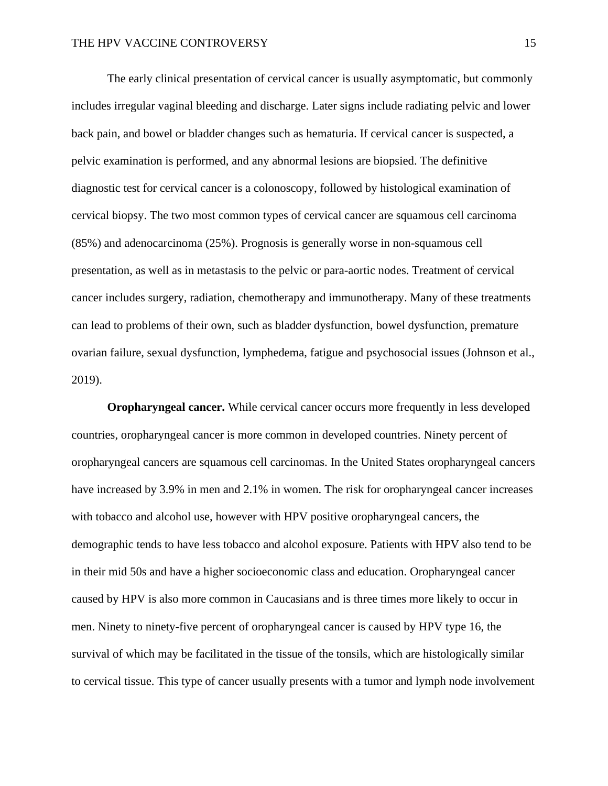The early clinical presentation of cervical cancer is usually asymptomatic, but commonly includes irregular vaginal bleeding and discharge. Later signs include radiating pelvic and lower back pain, and bowel or bladder changes such as hematuria. If cervical cancer is suspected, a pelvic examination is performed, and any abnormal lesions are biopsied. The definitive diagnostic test for cervical cancer is a colonoscopy, followed by histological examination of cervical biopsy. The two most common types of cervical cancer are squamous cell carcinoma (85%) and adenocarcinoma (25%). Prognosis is generally worse in non-squamous cell presentation, as well as in metastasis to the pelvic or para-aortic nodes. Treatment of cervical cancer includes surgery, radiation, chemotherapy and immunotherapy. Many of these treatments can lead to problems of their own, such as bladder dysfunction, bowel dysfunction, premature ovarian failure, sexual dysfunction, lymphedema, fatigue and psychosocial issues (Johnson et al., 2019).

**Oropharyngeal cancer.** While cervical cancer occurs more frequently in less developed countries, oropharyngeal cancer is more common in developed countries. Ninety percent of oropharyngeal cancers are squamous cell carcinomas. In the United States oropharyngeal cancers have increased by 3.9% in men and 2.1% in women. The risk for oropharyngeal cancer increases with tobacco and alcohol use, however with HPV positive oropharyngeal cancers, the demographic tends to have less tobacco and alcohol exposure. Patients with HPV also tend to be in their mid 50s and have a higher socioeconomic class and education. Oropharyngeal cancer caused by HPV is also more common in Caucasians and is three times more likely to occur in men. Ninety to ninety-five percent of oropharyngeal cancer is caused by HPV type 16, the survival of which may be facilitated in the tissue of the tonsils, which are histologically similar to cervical tissue. This type of cancer usually presents with a tumor and lymph node involvement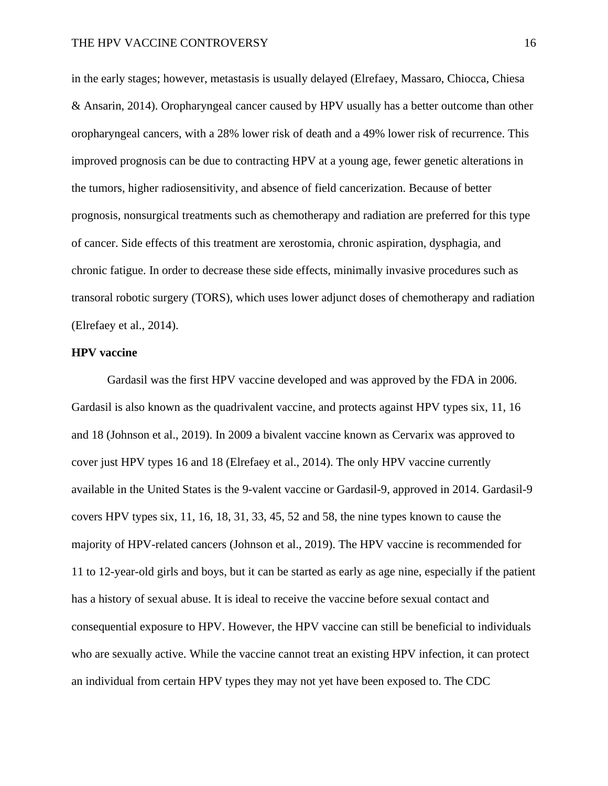in the early stages; however, metastasis is usually delayed (Elrefaey, Massaro, Chiocca, Chiesa & Ansarin, 2014). Oropharyngeal cancer caused by HPV usually has a better outcome than other oropharyngeal cancers, with a 28% lower risk of death and a 49% lower risk of recurrence. This improved prognosis can be due to contracting HPV at a young age, fewer genetic alterations in the tumors, higher radiosensitivity, and absence of field cancerization. Because of better prognosis, nonsurgical treatments such as chemotherapy and radiation are preferred for this type of cancer. Side effects of this treatment are xerostomia, chronic aspiration, dysphagia, and chronic fatigue. In order to decrease these side effects, minimally invasive procedures such as transoral robotic surgery (TORS), which uses lower adjunct doses of chemotherapy and radiation (Elrefaey et al., 2014).

# **HPV vaccine**

Gardasil was the first HPV vaccine developed and was approved by the FDA in 2006. Gardasil is also known as the quadrivalent vaccine, and protects against HPV types six, 11, 16 and 18 (Johnson et al., 2019). In 2009 a bivalent vaccine known as Cervarix was approved to cover just HPV types 16 and 18 (Elrefaey et al., 2014). The only HPV vaccine currently available in the United States is the 9-valent vaccine or Gardasil-9, approved in 2014. Gardasil-9 covers HPV types six, 11, 16, 18, 31, 33, 45, 52 and 58, the nine types known to cause the majority of HPV-related cancers (Johnson et al., 2019). The HPV vaccine is recommended for 11 to 12-year-old girls and boys, but it can be started as early as age nine, especially if the patient has a history of sexual abuse. It is ideal to receive the vaccine before sexual contact and consequential exposure to HPV. However, the HPV vaccine can still be beneficial to individuals who are sexually active. While the vaccine cannot treat an existing HPV infection, it can protect an individual from certain HPV types they may not yet have been exposed to. The CDC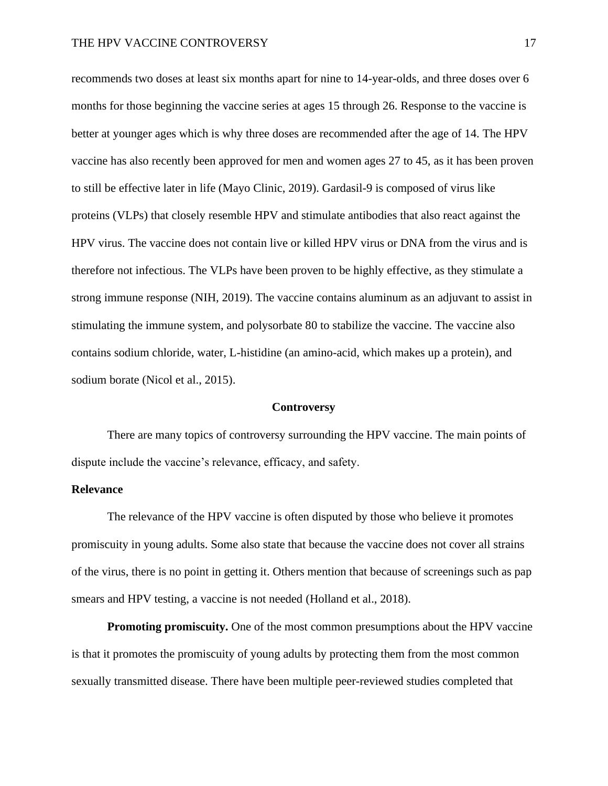recommends two doses at least six months apart for nine to 14-year-olds, and three doses over 6 months for those beginning the vaccine series at ages 15 through 26. Response to the vaccine is better at younger ages which is why three doses are recommended after the age of 14. The HPV vaccine has also recently been approved for men and women ages 27 to 45, as it has been proven to still be effective later in life (Mayo Clinic, 2019). Gardasil-9 is composed of virus like proteins (VLPs) that closely resemble HPV and stimulate antibodies that also react against the HPV virus. The vaccine does not contain live or killed HPV virus or DNA from the virus and is therefore not infectious. The VLPs have been proven to be highly effective, as they stimulate a strong immune response (NIH, 2019). The vaccine contains aluminum as an adjuvant to assist in stimulating the immune system, and polysorbate 80 to stabilize the vaccine. The vaccine also contains sodium chloride, water, L-histidine (an amino-acid, which makes up a protein), and sodium borate (Nicol et al., 2015).

#### **Controversy**

There are many topics of controversy surrounding the HPV vaccine. The main points of dispute include the vaccine's relevance, efficacy, and safety.

# **Relevance**

The relevance of the HPV vaccine is often disputed by those who believe it promotes promiscuity in young adults. Some also state that because the vaccine does not cover all strains of the virus, there is no point in getting it. Others mention that because of screenings such as pap smears and HPV testing, a vaccine is not needed (Holland et al., 2018).

**Promoting promiscuity.** One of the most common presumptions about the HPV vaccine is that it promotes the promiscuity of young adults by protecting them from the most common sexually transmitted disease. There have been multiple peer-reviewed studies completed that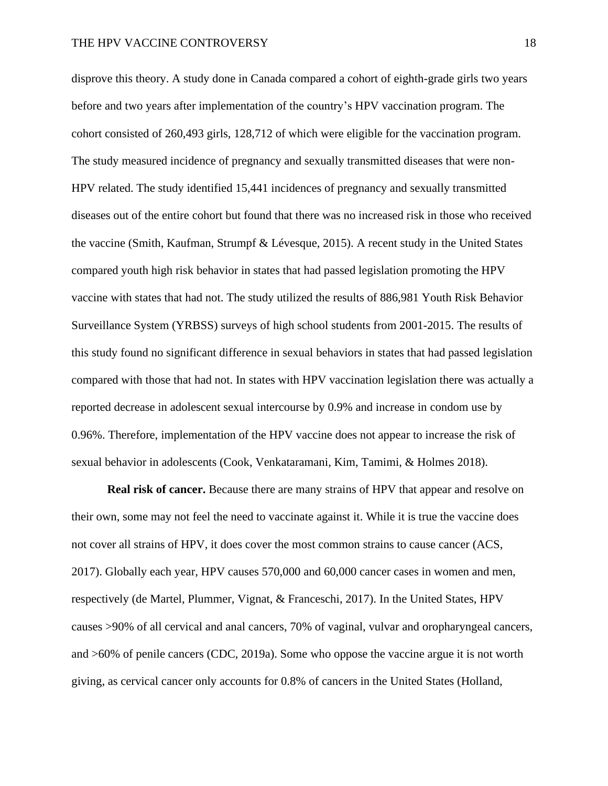disprove this theory. A study done in Canada compared a cohort of eighth-grade girls two years before and two years after implementation of the country's HPV vaccination program. The cohort consisted of 260,493 girls, 128,712 of which were eligible for the vaccination program. The study measured incidence of pregnancy and sexually transmitted diseases that were non-HPV related. The study identified 15,441 incidences of pregnancy and sexually transmitted diseases out of the entire cohort but found that there was no increased risk in those who received the vaccine (Smith, Kaufman, Strumpf & Lévesque, 2015). A recent study in the United States compared youth high risk behavior in states that had passed legislation promoting the HPV vaccine with states that had not. The study utilized the results of 886,981 Youth Risk Behavior Surveillance System (YRBSS) surveys of high school students from 2001-2015. The results of this study found no significant difference in sexual behaviors in states that had passed legislation compared with those that had not. In states with HPV vaccination legislation there was actually a reported decrease in adolescent sexual intercourse by 0.9% and increase in condom use by 0.96%. Therefore, implementation of the HPV vaccine does not appear to increase the risk of sexual behavior in adolescents (Cook, Venkataramani, Kim, Tamimi, & Holmes 2018).

**Real risk of cancer.** Because there are many strains of HPV that appear and resolve on their own, some may not feel the need to vaccinate against it. While it is true the vaccine does not cover all strains of HPV, it does cover the most common strains to cause cancer (ACS, 2017). Globally each year, HPV causes 570,000 and 60,000 cancer cases in women and men, respectively (de Martel, Plummer, Vignat, & Franceschi, 2017). In the United States, HPV causes >90% of all cervical and anal cancers, 70% of vaginal, vulvar and oropharyngeal cancers, and >60% of penile cancers (CDC, 2019a). Some who oppose the vaccine argue it is not worth giving, as cervical cancer only accounts for 0.8% of cancers in the United States (Holland,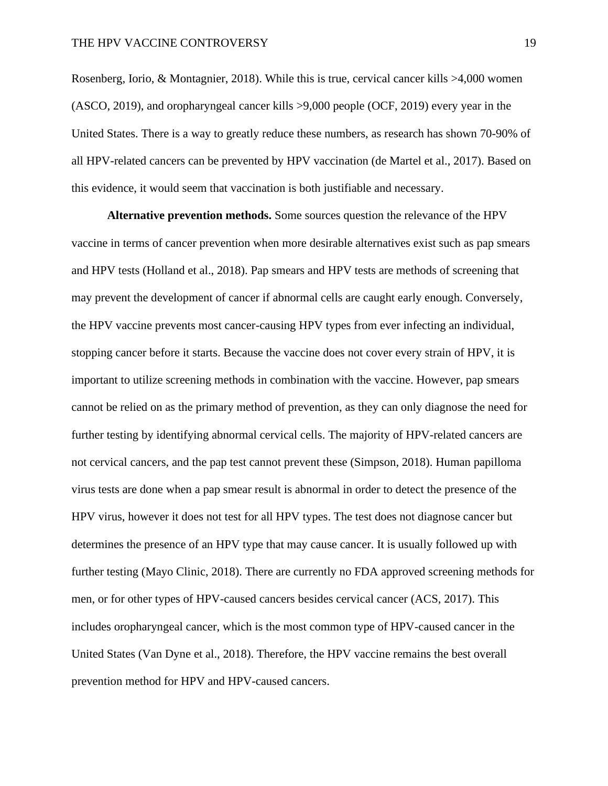Rosenberg, Iorio, & Montagnier, 2018). While this is true, cervical cancer kills >4,000 women (ASCO, 2019), and oropharyngeal cancer kills >9,000 people (OCF, 2019) every year in the United States. There is a way to greatly reduce these numbers, as research has shown 70-90% of all HPV-related cancers can be prevented by HPV vaccination (de Martel et al., 2017). Based on this evidence, it would seem that vaccination is both justifiable and necessary.

**Alternative prevention methods.** Some sources question the relevance of the HPV vaccine in terms of cancer prevention when more desirable alternatives exist such as pap smears and HPV tests (Holland et al., 2018). Pap smears and HPV tests are methods of screening that may prevent the development of cancer if abnormal cells are caught early enough. Conversely, the HPV vaccine prevents most cancer-causing HPV types from ever infecting an individual, stopping cancer before it starts. Because the vaccine does not cover every strain of HPV, it is important to utilize screening methods in combination with the vaccine. However, pap smears cannot be relied on as the primary method of prevention, as they can only diagnose the need for further testing by identifying abnormal cervical cells. The majority of HPV-related cancers are not cervical cancers, and the pap test cannot prevent these (Simpson, 2018). Human papilloma virus tests are done when a pap smear result is abnormal in order to detect the presence of the HPV virus, however it does not test for all HPV types. The test does not diagnose cancer but determines the presence of an HPV type that may cause cancer. It is usually followed up with further testing (Mayo Clinic, 2018). There are currently no FDA approved screening methods for men, or for other types of HPV-caused cancers besides cervical cancer (ACS, 2017). This includes oropharyngeal cancer, which is the most common type of HPV-caused cancer in the United States (Van Dyne et al., 2018). Therefore, the HPV vaccine remains the best overall prevention method for HPV and HPV-caused cancers.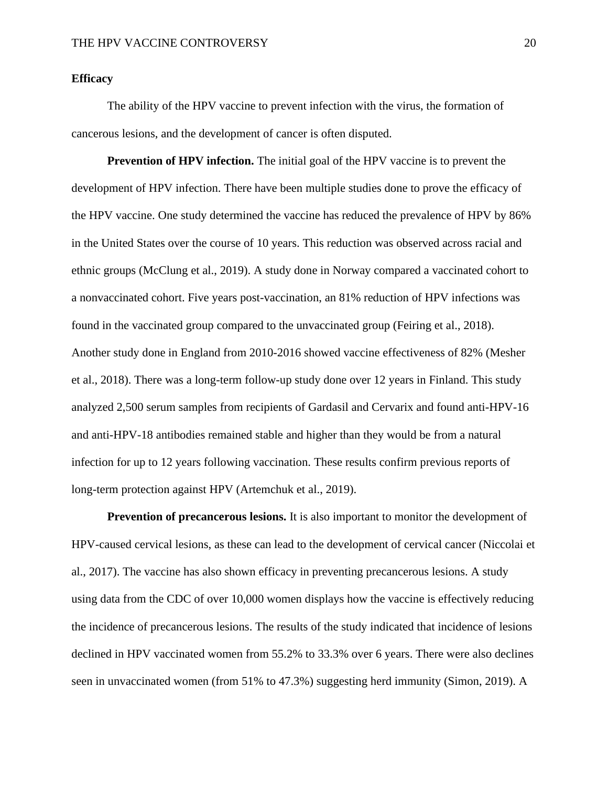# **Efficacy**

The ability of the HPV vaccine to prevent infection with the virus, the formation of cancerous lesions, and the development of cancer is often disputed.

**Prevention of HPV infection.** The initial goal of the HPV vaccine is to prevent the development of HPV infection. There have been multiple studies done to prove the efficacy of the HPV vaccine. One study determined the vaccine has reduced the prevalence of HPV by 86% in the United States over the course of 10 years. This reduction was observed across racial and ethnic groups (McClung et al., 2019). A study done in Norway compared a vaccinated cohort to a nonvaccinated cohort. Five years post-vaccination, an 81% reduction of HPV infections was found in the vaccinated group compared to the unvaccinated group (Feiring et al., 2018). Another study done in England from 2010-2016 showed vaccine effectiveness of 82% (Mesher et al., 2018). There was a long-term follow-up study done over 12 years in Finland. This study analyzed 2,500 serum samples from recipients of Gardasil and Cervarix and found anti-HPV-16 and anti-HPV-18 antibodies remained stable and higher than they would be from a natural infection for up to 12 years following vaccination. These results confirm previous reports of long-term protection against HPV (Artemchuk et al., 2019).

**Prevention of precancerous lesions.** It is also important to monitor the development of HPV-caused cervical lesions, as these can lead to the development of cervical cancer (Niccolai et al., 2017). The vaccine has also shown efficacy in preventing precancerous lesions. A study using data from the CDC of over 10,000 women displays how the vaccine is effectively reducing the incidence of precancerous lesions. The results of the study indicated that incidence of lesions declined in HPV vaccinated women from 55.2% to 33.3% over 6 years. There were also declines seen in unvaccinated women (from 51% to 47.3%) suggesting herd immunity (Simon, 2019). A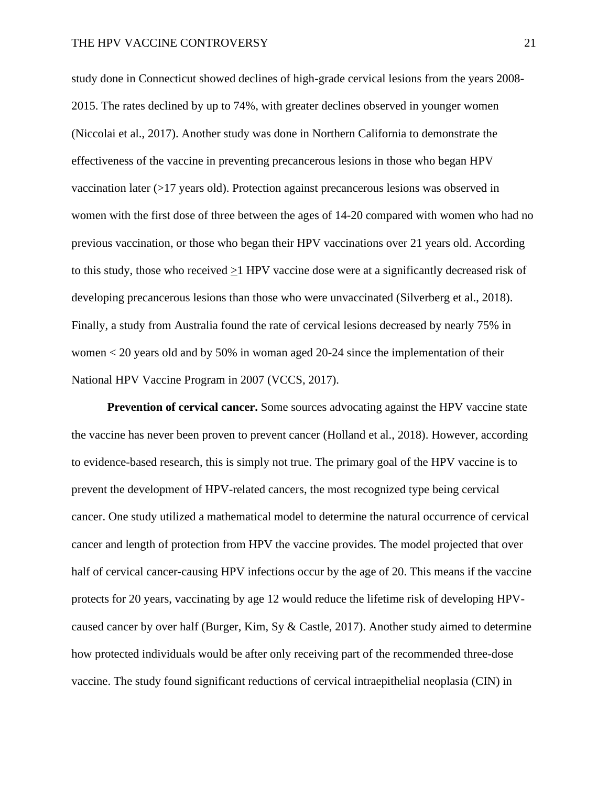study done in Connecticut showed declines of high-grade cervical lesions from the years 2008- 2015. The rates declined by up to 74%, with greater declines observed in younger women (Niccolai et al., 2017). Another study was done in Northern California to demonstrate the effectiveness of the vaccine in preventing precancerous lesions in those who began HPV vaccination later (>17 years old). Protection against precancerous lesions was observed in women with the first dose of three between the ages of 14-20 compared with women who had no previous vaccination, or those who began their HPV vaccinations over 21 years old. According to this study, those who received >1 HPV vaccine dose were at a significantly decreased risk of developing precancerous lesions than those who were unvaccinated (Silverberg et al., 2018). Finally, a study from Australia found the rate of cervical lesions decreased by nearly 75% in women < 20 years old and by 50% in woman aged 20-24 since the implementation of their National HPV Vaccine Program in 2007 (VCCS, 2017).

**Prevention of cervical cancer.** Some sources advocating against the HPV vaccine state the vaccine has never been proven to prevent cancer (Holland et al., 2018). However, according to evidence-based research, this is simply not true. The primary goal of the HPV vaccine is to prevent the development of HPV-related cancers, the most recognized type being cervical cancer. One study utilized a mathematical model to determine the natural occurrence of cervical cancer and length of protection from HPV the vaccine provides. The model projected that over half of cervical cancer-causing HPV infections occur by the age of 20. This means if the vaccine protects for 20 years, vaccinating by age 12 would reduce the lifetime risk of developing HPVcaused cancer by over half (Burger, Kim, Sy & Castle, 2017). Another study aimed to determine how protected individuals would be after only receiving part of the recommended three-dose vaccine. The study found significant reductions of cervical intraepithelial neoplasia (CIN) in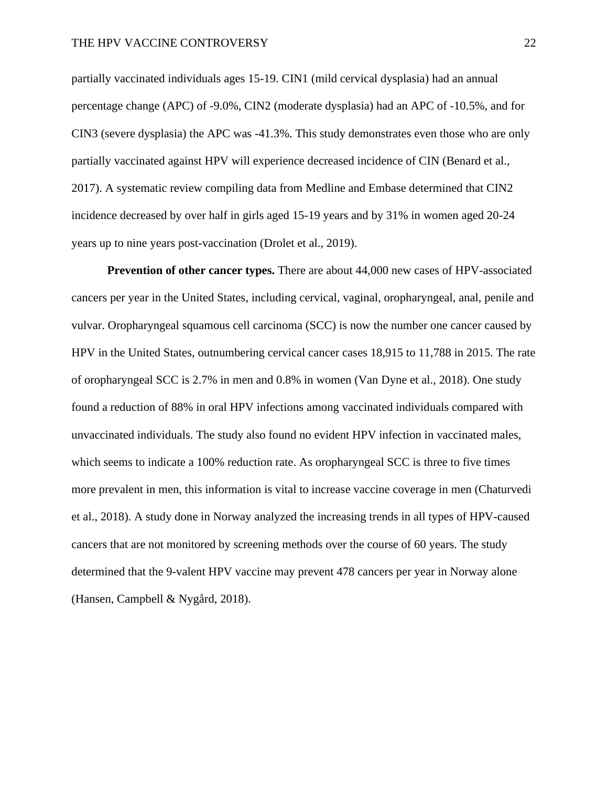partially vaccinated individuals ages 15-19. CIN1 (mild cervical dysplasia) had an annual percentage change (APC) of -9.0%, CIN2 (moderate dysplasia) had an APC of -10.5%, and for CIN3 (severe dysplasia) the APC was -41.3%. This study demonstrates even those who are only partially vaccinated against HPV will experience decreased incidence of CIN (Benard et al., 2017). A systematic review compiling data from Medline and Embase determined that CIN2 incidence decreased by over half in girls aged 15-19 years and by 31% in women aged 20-24 years up to nine years post-vaccination (Drolet et al., 2019).

**Prevention of other cancer types.** There are about 44,000 new cases of HPV-associated cancers per year in the United States, including cervical, vaginal, oropharyngeal, anal, penile and vulvar. Oropharyngeal squamous cell carcinoma (SCC) is now the number one cancer caused by HPV in the United States, outnumbering cervical cancer cases 18,915 to 11,788 in 2015. The rate of oropharyngeal SCC is 2.7% in men and 0.8% in women (Van Dyne et al., 2018). One study found a reduction of 88% in oral HPV infections among vaccinated individuals compared with unvaccinated individuals. The study also found no evident HPV infection in vaccinated males, which seems to indicate a 100% reduction rate. As oropharyngeal SCC is three to five times more prevalent in men, this information is vital to increase vaccine coverage in men (Chaturvedi et al., 2018). A study done in Norway analyzed the increasing trends in all types of HPV-caused cancers that are not monitored by screening methods over the course of 60 years. The study determined that the 9-valent HPV vaccine may prevent 478 cancers per year in Norway alone (Hansen, Campbell & Nygård, 2018).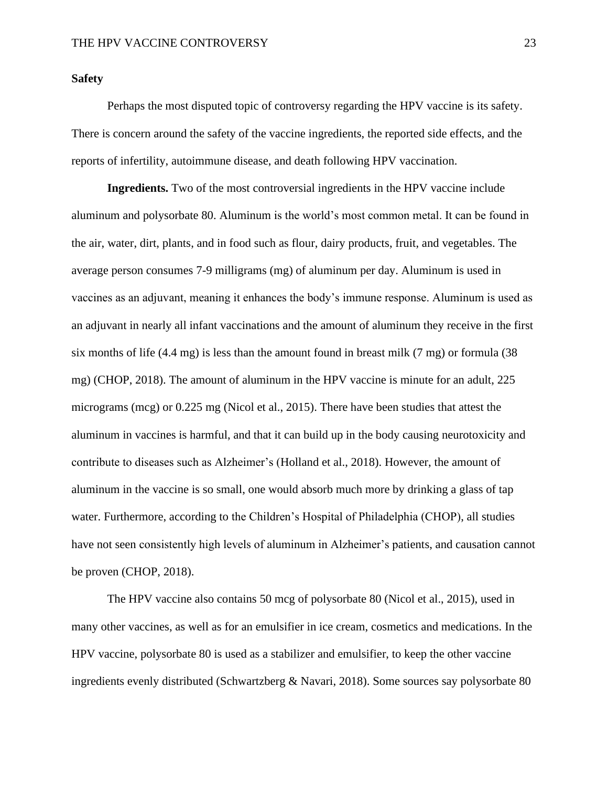# **Safety**

Perhaps the most disputed topic of controversy regarding the HPV vaccine is its safety. There is concern around the safety of the vaccine ingredients, the reported side effects, and the reports of infertility, autoimmune disease, and death following HPV vaccination.

**Ingredients.** Two of the most controversial ingredients in the HPV vaccine include aluminum and polysorbate 80. Aluminum is the world's most common metal. It can be found in the air, water, dirt, plants, and in food such as flour, dairy products, fruit, and vegetables. The average person consumes 7-9 milligrams (mg) of aluminum per day. Aluminum is used in vaccines as an adjuvant, meaning it enhances the body's immune response. Aluminum is used as an adjuvant in nearly all infant vaccinations and the amount of aluminum they receive in the first six months of life (4.4 mg) is less than the amount found in breast milk (7 mg) or formula (38 mg) (CHOP, 2018). The amount of aluminum in the HPV vaccine is minute for an adult, 225 micrograms (mcg) or 0.225 mg (Nicol et al., 2015). There have been studies that attest the aluminum in vaccines is harmful, and that it can build up in the body causing neurotoxicity and contribute to diseases such as Alzheimer's (Holland et al., 2018). However, the amount of aluminum in the vaccine is so small, one would absorb much more by drinking a glass of tap water. Furthermore, according to the Children's Hospital of Philadelphia (CHOP), all studies have not seen consistently high levels of aluminum in Alzheimer's patients, and causation cannot be proven (CHOP, 2018).

The HPV vaccine also contains 50 mcg of polysorbate 80 (Nicol et al., 2015), used in many other vaccines, as well as for an emulsifier in ice cream, cosmetics and medications. In the HPV vaccine, polysorbate 80 is used as a stabilizer and emulsifier, to keep the other vaccine ingredients evenly distributed (Schwartzberg & Navari, 2018). Some sources say polysorbate 80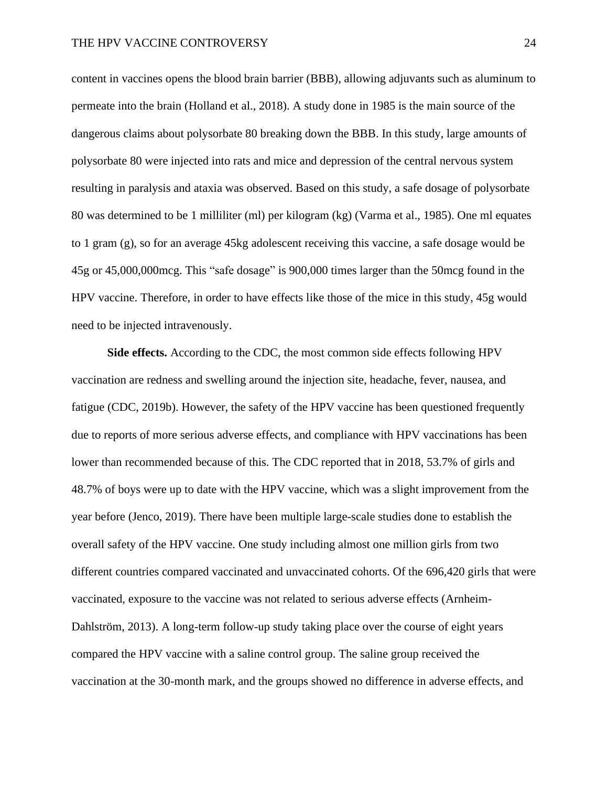content in vaccines opens the blood brain barrier (BBB), allowing adjuvants such as aluminum to permeate into the brain (Holland et al., 2018). A study done in 1985 is the main source of the dangerous claims about polysorbate 80 breaking down the BBB. In this study, large amounts of polysorbate 80 were injected into rats and mice and depression of the central nervous system resulting in paralysis and ataxia was observed. Based on this study, a safe dosage of polysorbate 80 was determined to be 1 milliliter (ml) per kilogram (kg) (Varma et al., 1985). One ml equates to 1 gram (g), so for an average 45kg adolescent receiving this vaccine, a safe dosage would be 45g or 45,000,000mcg. This "safe dosage" is 900,000 times larger than the 50mcg found in the HPV vaccine. Therefore, in order to have effects like those of the mice in this study, 45g would need to be injected intravenously.

**Side effects.** According to the CDC, the most common side effects following HPV vaccination are redness and swelling around the injection site, headache, fever, nausea, and fatigue (CDC, 2019b). However, the safety of the HPV vaccine has been questioned frequently due to reports of more serious adverse effects, and compliance with HPV vaccinations has been lower than recommended because of this. The CDC reported that in 2018, 53.7% of girls and 48.7% of boys were up to date with the HPV vaccine, which was a slight improvement from the year before (Jenco, 2019). There have been multiple large-scale studies done to establish the overall safety of the HPV vaccine. One study including almost one million girls from two different countries compared vaccinated and unvaccinated cohorts. Of the 696,420 girls that were vaccinated, exposure to the vaccine was not related to serious adverse effects (Arnheim-Dahlström, 2013). A long-term follow-up study taking place over the course of eight years compared the HPV vaccine with a saline control group. The saline group received the vaccination at the 30-month mark, and the groups showed no difference in adverse effects, and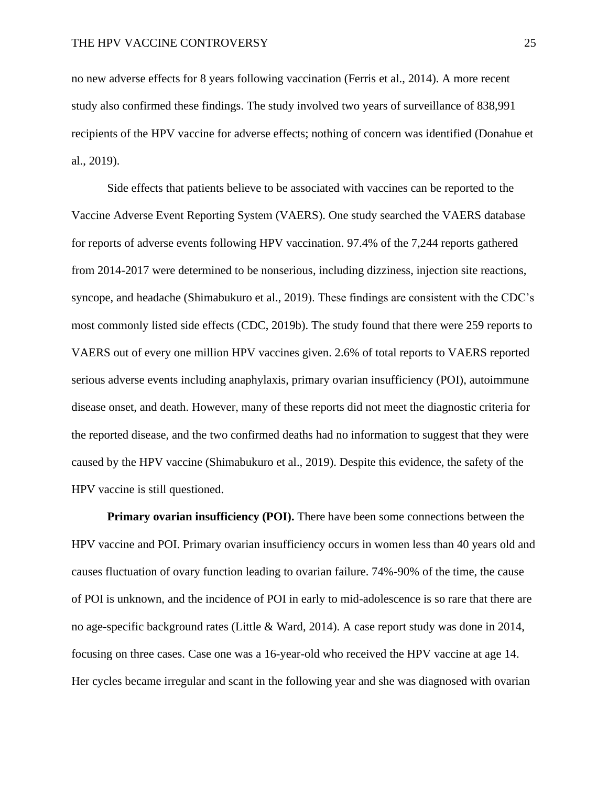no new adverse effects for 8 years following vaccination (Ferris et al., 2014). A more recent study also confirmed these findings. The study involved two years of surveillance of 838,991 recipients of the HPV vaccine for adverse effects; nothing of concern was identified (Donahue et al., 2019).

Side effects that patients believe to be associated with vaccines can be reported to the Vaccine Adverse Event Reporting System (VAERS). One study searched the VAERS database for reports of adverse events following HPV vaccination. 97.4% of the 7,244 reports gathered from 2014-2017 were determined to be nonserious, including dizziness, injection site reactions, syncope, and headache (Shimabukuro et al., 2019). These findings are consistent with the CDC's most commonly listed side effects (CDC, 2019b). The study found that there were 259 reports to VAERS out of every one million HPV vaccines given. 2.6% of total reports to VAERS reported serious adverse events including anaphylaxis, primary ovarian insufficiency (POI), autoimmune disease onset, and death. However, many of these reports did not meet the diagnostic criteria for the reported disease, and the two confirmed deaths had no information to suggest that they were caused by the HPV vaccine (Shimabukuro et al., 2019). Despite this evidence, the safety of the HPV vaccine is still questioned.

**Primary ovarian insufficiency (POI).** There have been some connections between the HPV vaccine and POI. Primary ovarian insufficiency occurs in women less than 40 years old and causes fluctuation of ovary function leading to ovarian failure. 74%-90% of the time, the cause of POI is unknown, and the incidence of POI in early to mid-adolescence is so rare that there are no age-specific background rates (Little & Ward, 2014). A case report study was done in 2014, focusing on three cases. Case one was a 16-year-old who received the HPV vaccine at age 14. Her cycles became irregular and scant in the following year and she was diagnosed with ovarian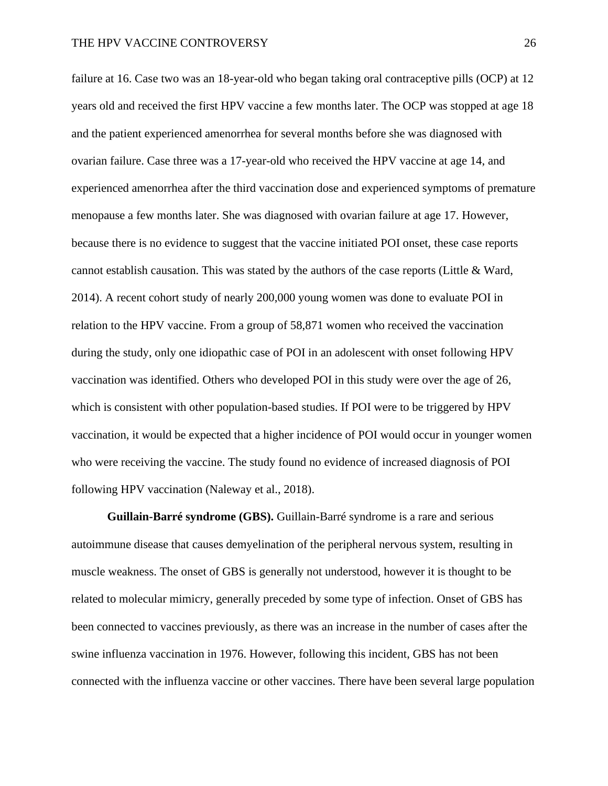failure at 16. Case two was an 18-year-old who began taking oral contraceptive pills (OCP) at 12 years old and received the first HPV vaccine a few months later. The OCP was stopped at age 18 and the patient experienced amenorrhea for several months before she was diagnosed with ovarian failure. Case three was a 17-year-old who received the HPV vaccine at age 14, and experienced amenorrhea after the third vaccination dose and experienced symptoms of premature menopause a few months later. She was diagnosed with ovarian failure at age 17. However, because there is no evidence to suggest that the vaccine initiated POI onset, these case reports cannot establish causation. This was stated by the authors of the case reports (Little & Ward, 2014). A recent cohort study of nearly 200,000 young women was done to evaluate POI in relation to the HPV vaccine. From a group of 58,871 women who received the vaccination during the study, only one idiopathic case of POI in an adolescent with onset following HPV vaccination was identified. Others who developed POI in this study were over the age of 26, which is consistent with other population-based studies. If POI were to be triggered by HPV vaccination, it would be expected that a higher incidence of POI would occur in younger women who were receiving the vaccine. The study found no evidence of increased diagnosis of POI following HPV vaccination (Naleway et al., 2018).

**Guillain-Barré syndrome (GBS).** Guillain-Barré syndrome is a rare and serious autoimmune disease that causes demyelination of the peripheral nervous system, resulting in muscle weakness. The onset of GBS is generally not understood, however it is thought to be related to molecular mimicry, generally preceded by some type of infection. Onset of GBS has been connected to vaccines previously, as there was an increase in the number of cases after the swine influenza vaccination in 1976. However, following this incident, GBS has not been connected with the influenza vaccine or other vaccines. There have been several large population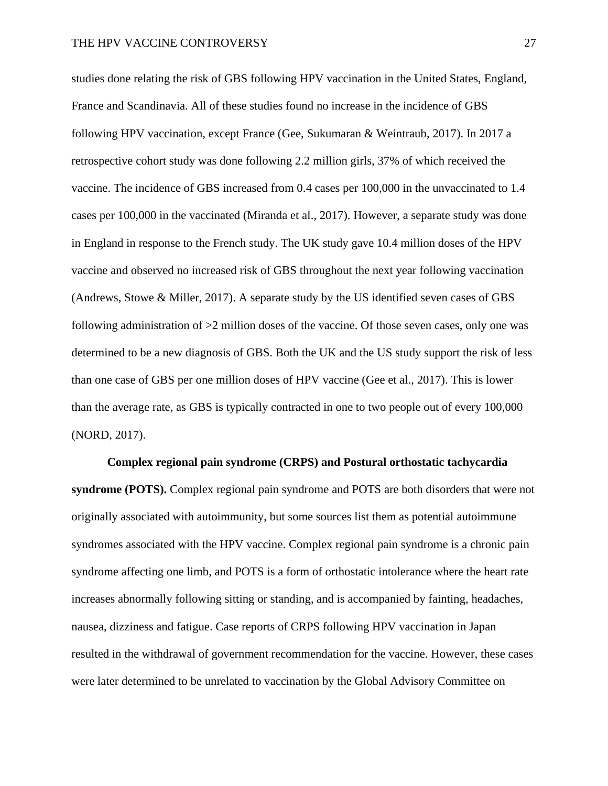studies done relating the risk of GBS following HPV vaccination in the United States, England, France and Scandinavia. All of these studies found no increase in the incidence of GBS following HPV vaccination, except France (Gee, Sukumaran & Weintraub, 2017). In 2017 a retrospective cohort study was done following 2.2 million girls, 37% of which received the vaccine. The incidence of GBS increased from 0.4 cases per 100,000 in the unvaccinated to 1.4 cases per 100,000 in the vaccinated (Miranda et al., 2017). However, a separate study was done in England in response to the French study. The UK study gave 10.4 million doses of the HPV vaccine and observed no increased risk of GBS throughout the next year following vaccination (Andrews, Stowe & Miller, 2017). A separate study by the US identified seven cases of GBS following administration of >2 million doses of the vaccine. Of those seven cases, only one was determined to be a new diagnosis of GBS. Both the UK and the US study support the risk of less than one case of GBS per one million doses of HPV vaccine (Gee et al., 2017). This is lower than the average rate, as GBS is typically contracted in one to two people out of every 100,000 (NORD, 2017).

**Complex regional pain syndrome (CRPS) and Postural orthostatic tachycardia syndrome (POTS).** Complex regional pain syndrome and POTS are both disorders that were not originally associated with autoimmunity, but some sources list them as potential autoimmune syndromes associated with the HPV vaccine. Complex regional pain syndrome is a chronic pain syndrome affecting one limb, and POTS is a form of orthostatic intolerance where the heart rate increases abnormally following sitting or standing, and is accompanied by fainting, headaches, nausea, dizziness and fatigue. Case reports of CRPS following HPV vaccination in Japan resulted in the withdrawal of government recommendation for the vaccine. However, these cases were later determined to be unrelated to vaccination by the Global Advisory Committee on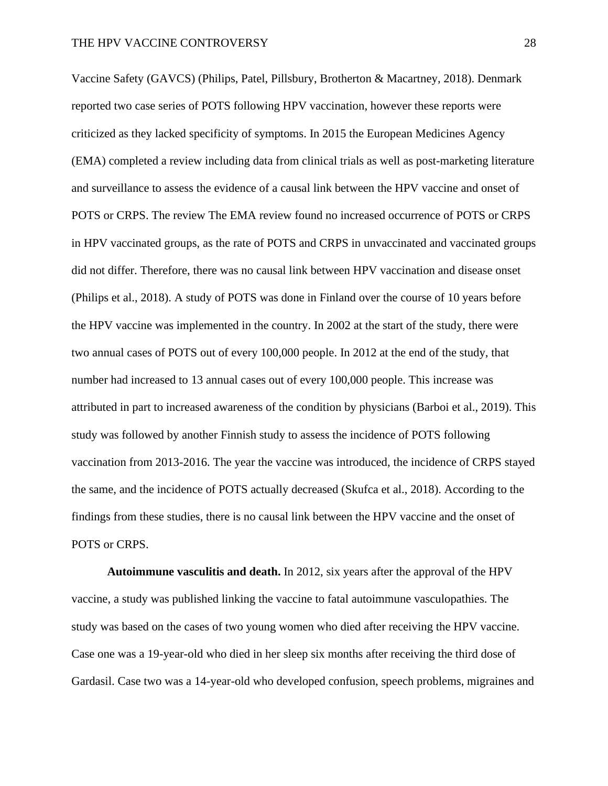Vaccine Safety (GAVCS) (Philips, Patel, Pillsbury, Brotherton & Macartney, 2018). Denmark reported two case series of POTS following HPV vaccination, however these reports were criticized as they lacked specificity of symptoms. In 2015 the European Medicines Agency (EMA) completed a review including data from clinical trials as well as post-marketing literature and surveillance to assess the evidence of a causal link between the HPV vaccine and onset of POTS or CRPS. The review The EMA review found no increased occurrence of POTS or CRPS in HPV vaccinated groups, as the rate of POTS and CRPS in unvaccinated and vaccinated groups did not differ. Therefore, there was no causal link between HPV vaccination and disease onset (Philips et al., 2018). A study of POTS was done in Finland over the course of 10 years before the HPV vaccine was implemented in the country. In 2002 at the start of the study, there were two annual cases of POTS out of every 100,000 people. In 2012 at the end of the study, that number had increased to 13 annual cases out of every 100,000 people. This increase was attributed in part to increased awareness of the condition by physicians (Barboi et al., 2019). This study was followed by another Finnish study to assess the incidence of POTS following vaccination from 2013-2016. The year the vaccine was introduced, the incidence of CRPS stayed the same, and the incidence of POTS actually decreased (Skufca et al., 2018). According to the findings from these studies, there is no causal link between the HPV vaccine and the onset of POTS or CRPS.

**Autoimmune vasculitis and death.** In 2012, six years after the approval of the HPV vaccine, a study was published linking the vaccine to fatal autoimmune vasculopathies. The study was based on the cases of two young women who died after receiving the HPV vaccine. Case one was a 19-year-old who died in her sleep six months after receiving the third dose of Gardasil. Case two was a 14-year-old who developed confusion, speech problems, migraines and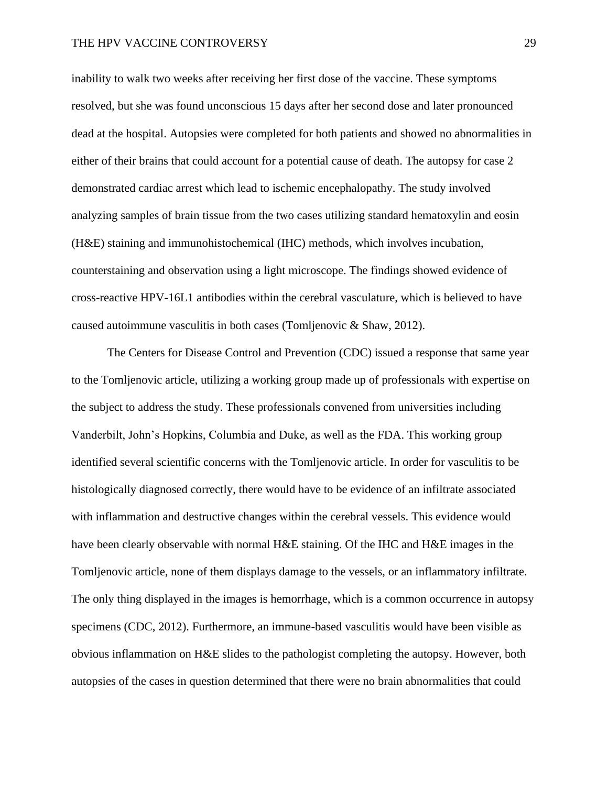# THE HPV VACCINE CONTROVERSY 29

inability to walk two weeks after receiving her first dose of the vaccine. These symptoms resolved, but she was found unconscious 15 days after her second dose and later pronounced dead at the hospital. Autopsies were completed for both patients and showed no abnormalities in either of their brains that could account for a potential cause of death. The autopsy for case 2 demonstrated cardiac arrest which lead to ischemic encephalopathy. The study involved analyzing samples of brain tissue from the two cases utilizing standard hematoxylin and eosin (H&E) staining and immunohistochemical (IHC) methods, which involves incubation, counterstaining and observation using a light microscope. The findings showed evidence of cross-reactive HPV-16L1 antibodies within the cerebral vasculature, which is believed to have caused autoimmune vasculitis in both cases (Tomljenovic & Shaw, 2012).

The Centers for Disease Control and Prevention (CDC) issued a response that same year to the Tomljenovic article, utilizing a working group made up of professionals with expertise on the subject to address the study. These professionals convened from universities including Vanderbilt, John's Hopkins, Columbia and Duke, as well as the FDA. This working group identified several scientific concerns with the Tomljenovic article. In order for vasculitis to be histologically diagnosed correctly, there would have to be evidence of an infiltrate associated with inflammation and destructive changes within the cerebral vessels. This evidence would have been clearly observable with normal H&E staining. Of the IHC and H&E images in the Tomljenovic article, none of them displays damage to the vessels, or an inflammatory infiltrate. The only thing displayed in the images is hemorrhage, which is a common occurrence in autopsy specimens (CDC, 2012). Furthermore, an immune-based vasculitis would have been visible as obvious inflammation on H&E slides to the pathologist completing the autopsy. However, both autopsies of the cases in question determined that there were no brain abnormalities that could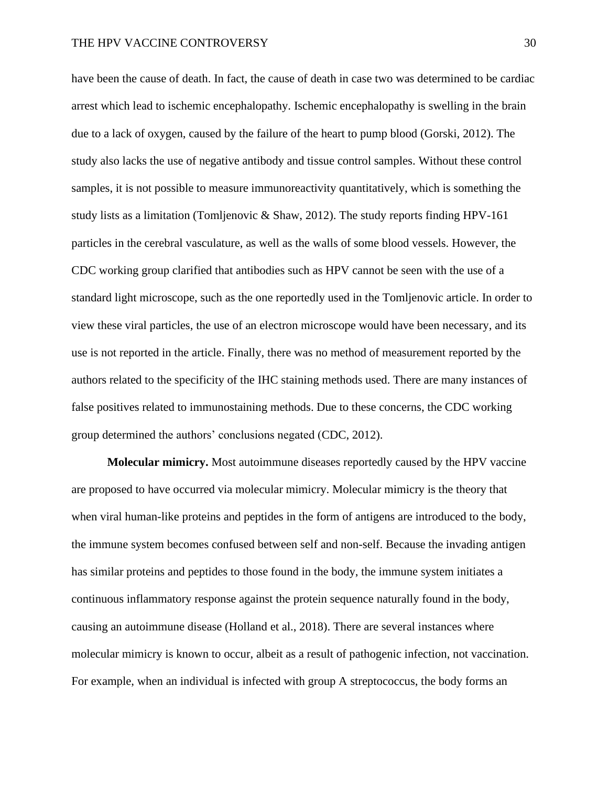have been the cause of death. In fact, the cause of death in case two was determined to be cardiac arrest which lead to ischemic encephalopathy. Ischemic encephalopathy is swelling in the brain due to a lack of oxygen, caused by the failure of the heart to pump blood (Gorski, 2012). The study also lacks the use of negative antibody and tissue control samples. Without these control samples, it is not possible to measure immunoreactivity quantitatively, which is something the study lists as a limitation (Tomljenovic & Shaw, 2012). The study reports finding HPV-161 particles in the cerebral vasculature, as well as the walls of some blood vessels. However, the CDC working group clarified that antibodies such as HPV cannot be seen with the use of a standard light microscope, such as the one reportedly used in the Tomljenovic article. In order to view these viral particles, the use of an electron microscope would have been necessary, and its use is not reported in the article. Finally, there was no method of measurement reported by the authors related to the specificity of the IHC staining methods used. There are many instances of false positives related to immunostaining methods. Due to these concerns, the CDC working group determined the authors' conclusions negated (CDC, 2012).

**Molecular mimicry.** Most autoimmune diseases reportedly caused by the HPV vaccine are proposed to have occurred via molecular mimicry. Molecular mimicry is the theory that when viral human-like proteins and peptides in the form of antigens are introduced to the body, the immune system becomes confused between self and non-self. Because the invading antigen has similar proteins and peptides to those found in the body, the immune system initiates a continuous inflammatory response against the protein sequence naturally found in the body, causing an autoimmune disease (Holland et al., 2018). There are several instances where molecular mimicry is known to occur, albeit as a result of pathogenic infection, not vaccination. For example, when an individual is infected with group A streptococcus, the body forms an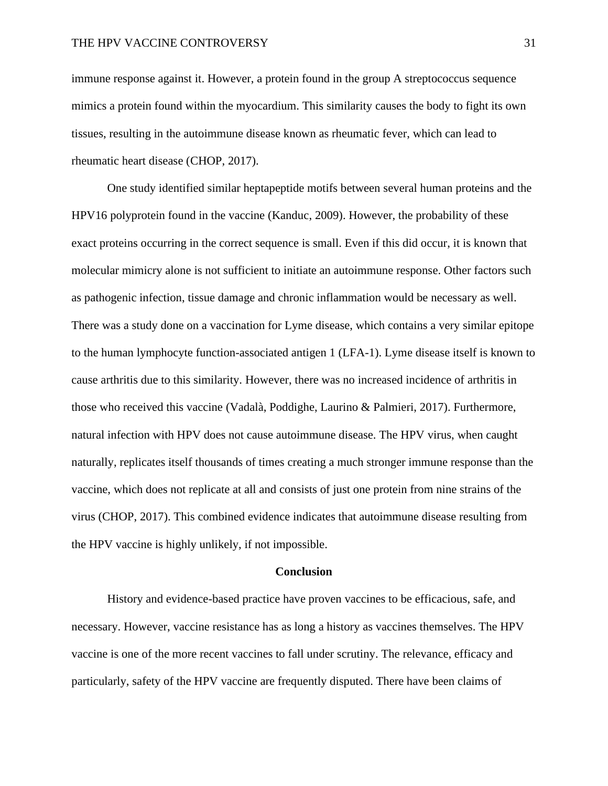immune response against it. However, a protein found in the group A streptococcus sequence mimics a protein found within the myocardium. This similarity causes the body to fight its own tissues, resulting in the autoimmune disease known as rheumatic fever, which can lead to rheumatic heart disease (CHOP, 2017).

One study identified similar heptapeptide motifs between several human proteins and the HPV16 polyprotein found in the vaccine (Kanduc, 2009). However, the probability of these exact proteins occurring in the correct sequence is small. Even if this did occur, it is known that molecular mimicry alone is not sufficient to initiate an autoimmune response. Other factors such as pathogenic infection, tissue damage and chronic inflammation would be necessary as well. There was a study done on a vaccination for Lyme disease, which contains a very similar epitope to the human lymphocyte function-associated antigen 1 (LFA-1). Lyme disease itself is known to cause arthritis due to this similarity. However, there was no increased incidence of arthritis in those who received this vaccine (Vadalà, Poddighe, Laurino & Palmieri, 2017). Furthermore, natural infection with HPV does not cause autoimmune disease. The HPV virus, when caught naturally, replicates itself thousands of times creating a much stronger immune response than the vaccine, which does not replicate at all and consists of just one protein from nine strains of the virus (CHOP, 2017). This combined evidence indicates that autoimmune disease resulting from the HPV vaccine is highly unlikely, if not impossible.

#### **Conclusion**

History and evidence-based practice have proven vaccines to be efficacious, safe, and necessary. However, vaccine resistance has as long a history as vaccines themselves. The HPV vaccine is one of the more recent vaccines to fall under scrutiny. The relevance, efficacy and particularly, safety of the HPV vaccine are frequently disputed. There have been claims of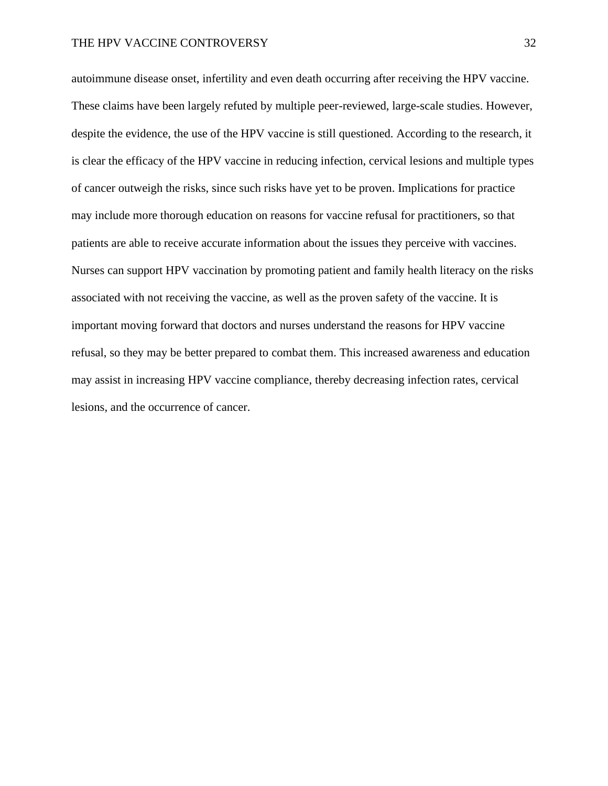# THE HPV VACCINE CONTROVERSY 32

autoimmune disease onset, infertility and even death occurring after receiving the HPV vaccine. These claims have been largely refuted by multiple peer-reviewed, large-scale studies. However, despite the evidence, the use of the HPV vaccine is still questioned. According to the research, it is clear the efficacy of the HPV vaccine in reducing infection, cervical lesions and multiple types of cancer outweigh the risks, since such risks have yet to be proven. Implications for practice may include more thorough education on reasons for vaccine refusal for practitioners, so that patients are able to receive accurate information about the issues they perceive with vaccines. Nurses can support HPV vaccination by promoting patient and family health literacy on the risks associated with not receiving the vaccine, as well as the proven safety of the vaccine. It is important moving forward that doctors and nurses understand the reasons for HPV vaccine refusal, so they may be better prepared to combat them. This increased awareness and education may assist in increasing HPV vaccine compliance, thereby decreasing infection rates, cervical lesions, and the occurrence of cancer.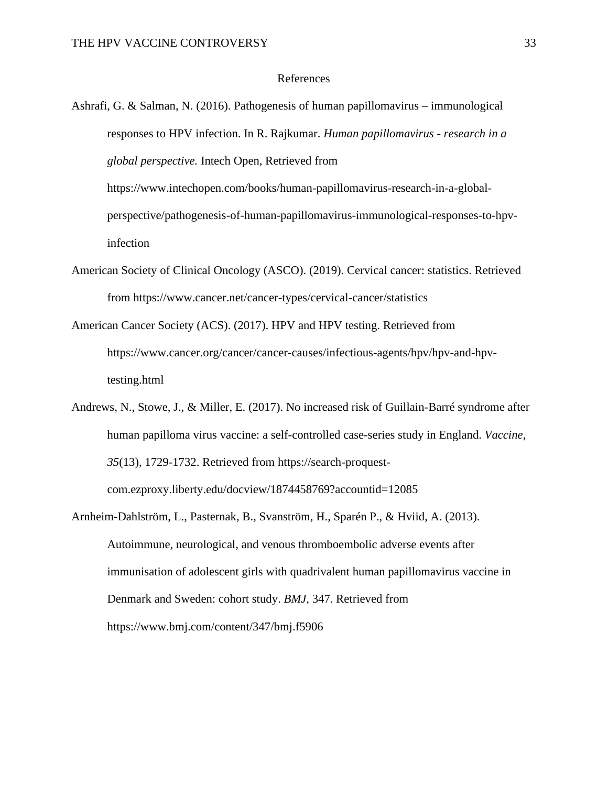# References

- Ashrafi, G. & Salman, N. (2016). Pathogenesis of human papillomavirus immunological responses to HPV infection. In R. Rajkumar. *Human papillomavirus - research in a global perspective.* Intech Open, Retrieved from https://www.intechopen.com/books/human-papillomavirus-research-in-a-globalperspective/pathogenesis-of-human-papillomavirus-immunological-responses-to-hpvinfection
- American Society of Clinical Oncology (ASCO). (2019). Cervical cancer: statistics. Retrieved from https://www.cancer.net/cancer-types/cervical-cancer/statistics
- American Cancer Society (ACS). (2017). HPV and HPV testing. Retrieved from https://www.cancer.org/cancer/cancer-causes/infectious-agents/hpv/hpv-and-hpvtesting.html
- Andrews, N., Stowe, J., & Miller, E. (2017). No increased risk of Guillain-Barré syndrome after human papilloma virus vaccine: a self-controlled case-series study in England. *Vaccine*, *35*(13), 1729-1732. Retrieved from https://search-proquestcom.ezproxy.liberty.edu/docview/1874458769?accountid=12085
- Arnheim-Dahlström, L., Pasternak, B., Svanström, H., Sparén P., & Hviid, A. (2013). Autoimmune, neurological, and venous thromboembolic adverse events after immunisation of adolescent girls with quadrivalent human papillomavirus vaccine in Denmark and Sweden: cohort study. *BMJ*, 347. Retrieved from https://www.bmj.com/content/347/bmj.f5906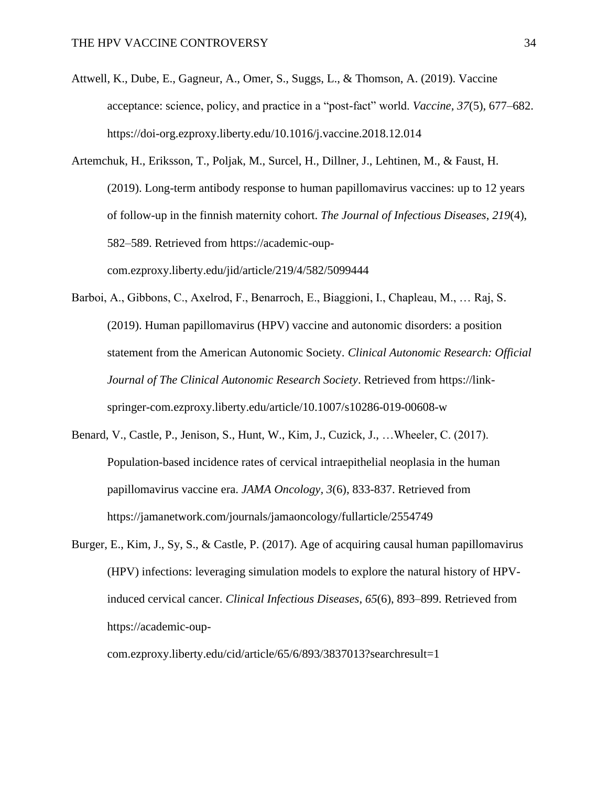Attwell, K., Dube, E., Gagneur, A., Omer, S., Suggs, L., & Thomson, A. (2019). Vaccine acceptance: science, policy, and practice in a "post-fact" world. *Vaccine, 37*(5), 677–682. https://doi-org.ezproxy.liberty.edu/10.1016/j.vaccine.2018.12.014

Artemchuk, H., Eriksson, T., Poljak, M., Surcel, H., Dillner, J., Lehtinen, M., & Faust, H. (2019). Long-term antibody response to human papillomavirus vaccines: up to 12 years of follow-up in the finnish maternity cohort. *The Journal of Infectious Diseases*, *219*(4), 582–589. Retrieved from https://academic-oupcom.ezproxy.liberty.edu/jid/article/219/4/582/5099444

- Barboi, A., Gibbons, C., Axelrod, F., Benarroch, E., Biaggioni, I., Chapleau, M., … Raj, S. (2019). Human papillomavirus (HPV) vaccine and autonomic disorders: a position statement from the American Autonomic Society. *Clinical Autonomic Research: Official Journal of The Clinical Autonomic Research Society*. Retrieved from https://linkspringer-com.ezproxy.liberty.edu/article/10.1007/s10286-019-00608-w
- Benard, V., Castle, P., Jenison, S., Hunt, W., Kim, J., Cuzick, J., …Wheeler, C. (2017). Population-based incidence rates of cervical intraepithelial neoplasia in the human papillomavirus vaccine era. *JAMA Oncology, 3*(6), 833-837. Retrieved from https://jamanetwork.com/journals/jamaoncology/fullarticle/2554749
- Burger, E., Kim, J., Sy, S., & Castle, P. (2017). Age of acquiring causal human papillomavirus (HPV) infections: leveraging simulation models to explore the natural history of HPVinduced cervical cancer. *Clinical Infectious Diseases*, *65*(6), 893–899. Retrieved from https://academic-oup-

com.ezproxy.liberty.edu/cid/article/65/6/893/3837013?searchresult=1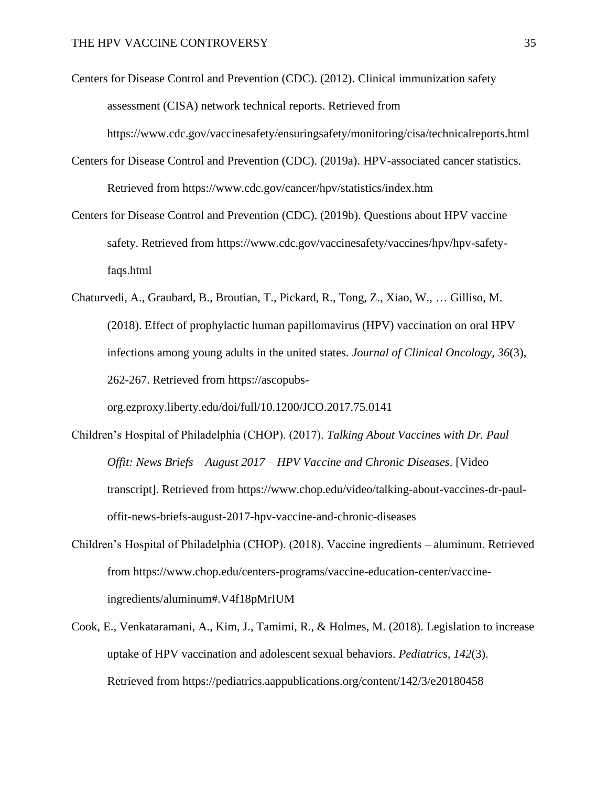Centers for Disease Control and Prevention (CDC). (2012). Clinical immunization safety assessment (CISA) network technical reports. Retrieved from https://www.cdc.gov/vaccinesafety/ensuringsafety/monitoring/cisa/technicalreports.html

- Centers for Disease Control and Prevention (CDC). (2019a). HPV-associated cancer statistics. Retrieved from https://www.cdc.gov/cancer/hpv/statistics/index.htm
- Centers for Disease Control and Prevention (CDC). (2019b). Questions about HPV vaccine safety. Retrieved from https://www.cdc.gov/vaccinesafety/vaccines/hpv/hpv-safetyfaqs.html
- Chaturvedi, A., Graubard, B., Broutian, T., Pickard, R., Tong, Z., Xiao, W., … Gilliso, M. (2018). Effect of prophylactic human papillomavirus (HPV) vaccination on oral HPV infections among young adults in the united states. *Journal of Clinical Oncology, 36*(3), 262-267. Retrieved from https://ascopubs-

org.ezproxy.liberty.edu/doi/full/10.1200/JCO.2017.75.0141

- Children's Hospital of Philadelphia (CHOP). (2017). *Talking About Vaccines with Dr. Paul Offit: News Briefs – August 2017 – HPV Vaccine and Chronic Diseases*. [Video transcript]. Retrieved from https://www.chop.edu/video/talking-about-vaccines-dr-pauloffit-news-briefs-august-2017-hpv-vaccine-and-chronic-diseases
- Children's Hospital of Philadelphia (CHOP). (2018). Vaccine ingredients aluminum. Retrieved from https://www.chop.edu/centers-programs/vaccine-education-center/vaccineingredients/aluminum#.V4f18pMrIUM
- Cook, E., Venkataramani, A., Kim, J., Tamimi, R., & Holmes, M. (2018). Legislation to increase uptake of HPV vaccination and adolescent sexual behaviors. *Pediatrics*, *142*(3). Retrieved from https://pediatrics.aappublications.org/content/142/3/e20180458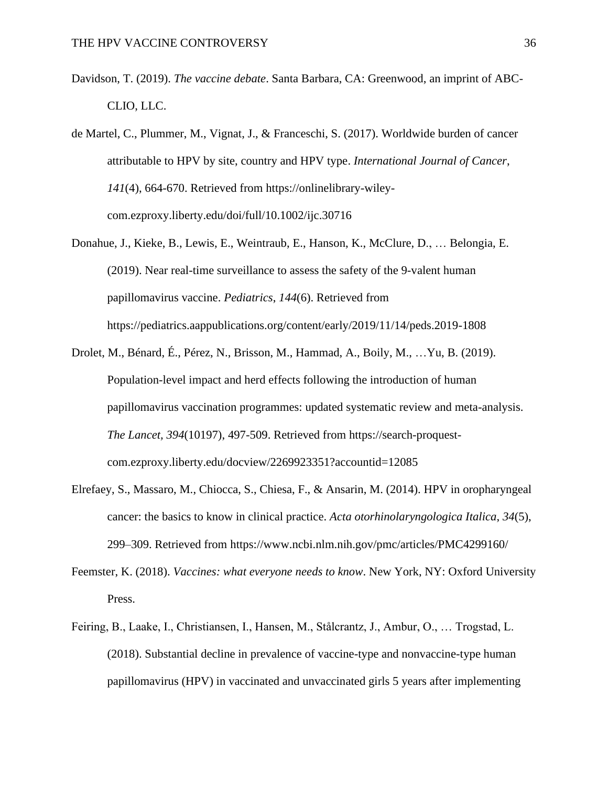- Davidson, T. (2019). *The vaccine debate*. Santa Barbara, CA: Greenwood, an imprint of ABC-CLIO, LLC.
- de Martel, C., Plummer, M., Vignat, J., & Franceschi, S. (2017). Worldwide burden of cancer attributable to HPV by site, country and HPV type. *International Journal of Cancer*, *141*(4), 664-670. Retrieved from https://onlinelibrary-wileycom.ezproxy.liberty.edu/doi/full/10.1002/ijc.30716
- Donahue, J., Kieke, B., Lewis, E., Weintraub, E., Hanson, K., McClure, D., … Belongia, E. (2019). Near real-time surveillance to assess the safety of the 9-valent human papillomavirus vaccine. *Pediatrics*, *144*(6). Retrieved from https://pediatrics.aappublications.org/content/early/2019/11/14/peds.2019-1808
- Drolet, M., Bénard, É., Pérez, N., Brisson, M., Hammad, A., Boily, M., …Yu, B. (2019). Population-level impact and herd effects following the introduction of human papillomavirus vaccination programmes: updated systematic review and meta-analysis. *The Lancet, 394*(10197), 497-509. Retrieved from https://search-proquestcom.ezproxy.liberty.edu/docview/2269923351?accountid=12085
- Elrefaey, S., Massaro, M., Chiocca, S., Chiesa, F., & Ansarin, M. (2014). HPV in oropharyngeal cancer: the basics to know in clinical practice. *Acta otorhinolaryngologica Italica*, *34*(5), 299–309. Retrieved from https://www.ncbi.nlm.nih.gov/pmc/articles/PMC4299160/
- Feemster, K. (2018). *Vaccines: what everyone needs to know*. New York, NY: Oxford University Press.
- Feiring, B., Laake, I., Christiansen, I., Hansen, M., Stålcrantz, J., Ambur, O., … Trogstad, L. (2018). Substantial decline in prevalence of vaccine-type and nonvaccine-type human papillomavirus (HPV) in vaccinated and unvaccinated girls 5 years after implementing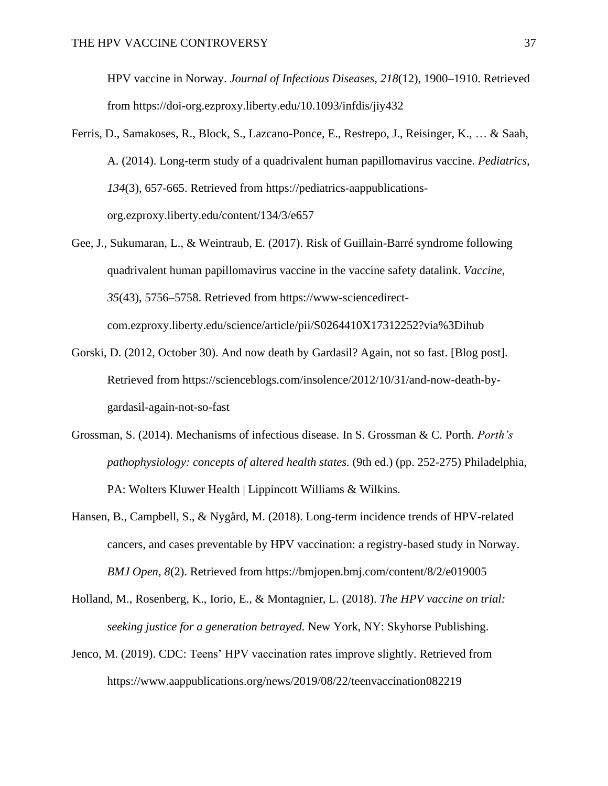HPV vaccine in Norway. *Journal of Infectious Diseases*, *218*(12), 1900–1910. Retrieved from https://doi-org.ezproxy.liberty.edu/10.1093/infdis/jiy432

- Ferris, D., Samakoses, R., Block, S., Lazcano-Ponce, E., Restrepo, J., Reisinger, K., … & Saah, A. (2014). Long-term study of a quadrivalent human papillomavirus vaccine. *Pediatrics*, *134*(3), 657-665. Retrieved from https://pediatrics-aappublicationsorg.ezproxy.liberty.edu/content/134/3/e657
- Gee, J., Sukumaran, L., & Weintraub, E. (2017). Risk of Guillain-Barré syndrome following quadrivalent human papillomavirus vaccine in the vaccine safety datalink. *Vaccine*, *35*(43), 5756–5758. Retrieved from https://www-sciencedirectcom.ezproxy.liberty.edu/science/article/pii/S0264410X17312252?via%3Dihub
- Gorski, D. (2012, October 30). And now death by Gardasil? Again, not so fast. [Blog post]. Retrieved from https://scienceblogs.com/insolence/2012/10/31/and-now-death-bygardasil-again-not-so-fast
- Grossman, S. (2014). Mechanisms of infectious disease. In S. Grossman & C. Porth. *Porth's pathophysiology: concepts of altered health states.* (9th ed.) (pp. 252-275) Philadelphia, PA: Wolters Kluwer Health | Lippincott Williams & Wilkins.
- Hansen, B., Campbell, S., & Nygård, M. (2018). Long-term incidence trends of HPV-related cancers, and cases preventable by HPV vaccination: a registry-based study in Norway. *BMJ Open*, *8*(2). Retrieved from https://bmjopen.bmj.com/content/8/2/e019005
- Holland, M., Rosenberg, K., Iorio, E., & Montagnier, L. (2018). *The HPV vaccine on trial: seeking justice for a generation betrayed.* New York, NY: Skyhorse Publishing.
- Jenco, M. (2019). CDC: Teens' HPV vaccination rates improve slightly. Retrieved from https://www.aappublications.org/news/2019/08/22/teenvaccination082219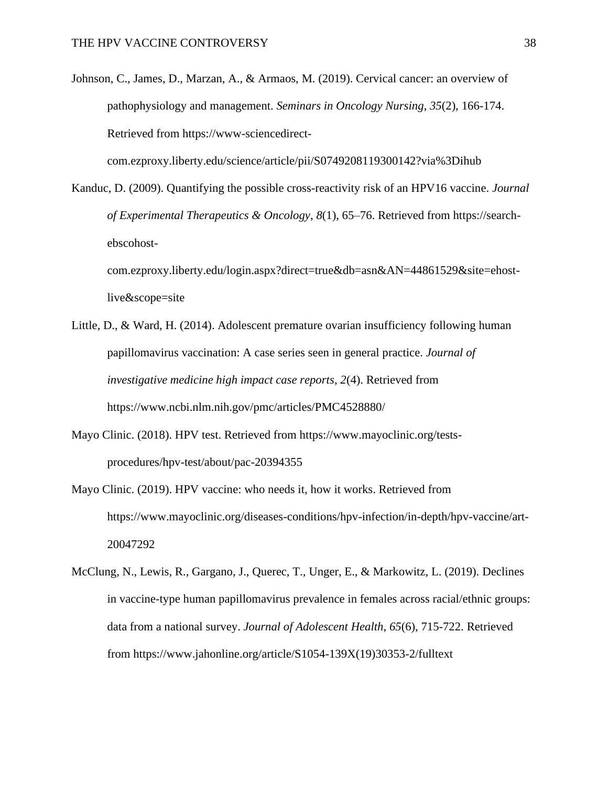Johnson, C., James, D., Marzan, A., & Armaos, M. (2019). Cervical cancer: an overview of pathophysiology and management. *Seminars in Oncology Nursing*, *35*(2), 166-174. Retrieved from https://www-sciencedirect-

com.ezproxy.liberty.edu/science/article/pii/S0749208119300142?via%3Dihub

Kanduc, D. (2009). Quantifying the possible cross-reactivity risk of an HPV16 vaccine. *Journal of Experimental Therapeutics & Oncology*, *8*(1), 65–76. Retrieved from https://searchebscohostcom.ezproxy.liberty.edu/login.aspx?direct=true&db=asn&AN=44861529&site=ehost-

live&scope=site

- Little, D., & Ward, H. (2014). Adolescent premature ovarian insufficiency following human papillomavirus vaccination: A case series seen in general practice. *Journal of investigative medicine high impact case reports*, *2*(4). Retrieved from https://www.ncbi.nlm.nih.gov/pmc/articles/PMC4528880/
- Mayo Clinic. (2018). HPV test. Retrieved from https://www.mayoclinic.org/testsprocedures/hpv-test/about/pac-20394355
- Mayo Clinic. (2019). HPV vaccine: who needs it, how it works. Retrieved from https://www.mayoclinic.org/diseases-conditions/hpv-infection/in-depth/hpv-vaccine/art-20047292
- McClung, N., Lewis, R., Gargano, J., Querec, T., Unger, E., & Markowitz, L. (2019). Declines in vaccine-type human papillomavirus prevalence in females across racial/ethnic groups: data from a national survey. *Journal of Adolescent Health*, *65*(6), 715-722. Retrieved from https://www.jahonline.org/article/S1054-139X(19)30353-2/fulltext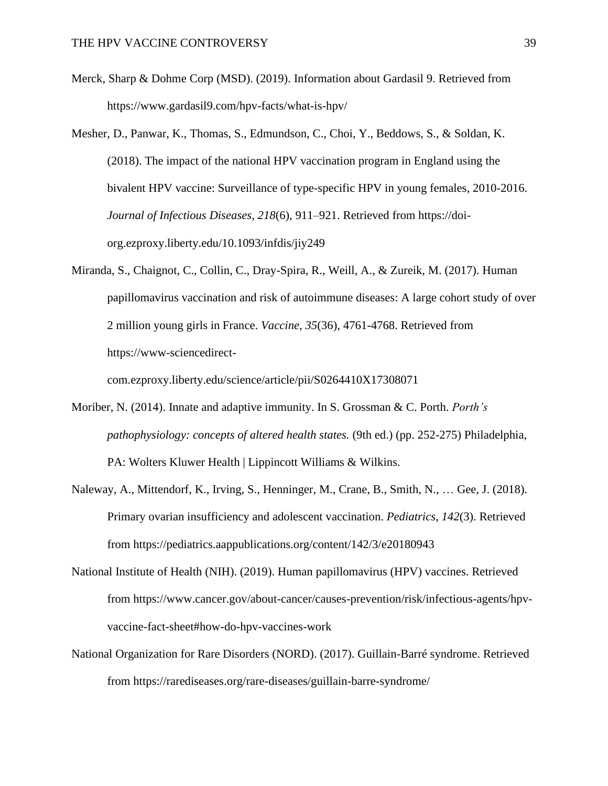- Merck, Sharp & Dohme Corp (MSD). (2019). Information about Gardasil 9. Retrieved from https://www.gardasil9.com/hpv-facts/what-is-hpv/
- Mesher, D., Panwar, K., Thomas, S., Edmundson, C., Choi, Y., Beddows, S., & Soldan, K. (2018). The impact of the national HPV vaccination program in England using the bivalent HPV vaccine: Surveillance of type-specific HPV in young females, 2010-2016. *Journal of Infectious Diseases*, *218*(6), 911–921. Retrieved from https://doiorg.ezproxy.liberty.edu/10.1093/infdis/jiy249
- Miranda, S., Chaignot, C., Collin, C., Dray-Spira, R., Weill, A., & Zureik, M. (2017). Human papillomavirus vaccination and risk of autoimmune diseases: A large cohort study of over 2 million young girls in France. *Vaccine*, *35*(36), 4761-4768. Retrieved from https://www-sciencedirect-

com.ezproxy.liberty.edu/science/article/pii/S0264410X17308071

- Moriber, N. (2014). Innate and adaptive immunity. In S. Grossman & C. Porth. *Porth's pathophysiology: concepts of altered health states.* (9th ed.) (pp. 252-275) Philadelphia, PA: Wolters Kluwer Health | Lippincott Williams & Wilkins.
- Naleway, A., Mittendorf, K., Irving, S., Henninger, M., Crane, B., Smith, N., … Gee, J. (2018). Primary ovarian insufficiency and adolescent vaccination. *Pediatrics*, *142*(3). Retrieved from https://pediatrics.aappublications.org/content/142/3/e20180943
- National Institute of Health (NIH). (2019). Human papillomavirus (HPV) vaccines. Retrieved from https://www.cancer.gov/about-cancer/causes-prevention/risk/infectious-agents/hpvvaccine-fact-sheet#how-do-hpv-vaccines-work
- National Organization for Rare Disorders (NORD). (2017). Guillain-Barré syndrome. Retrieved from https://rarediseases.org/rare-diseases/guillain-barre-syndrome/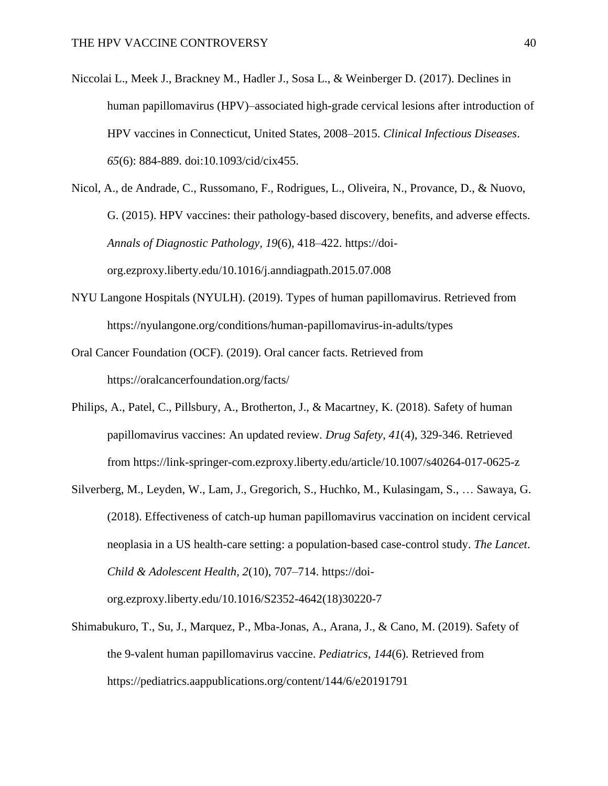- Niccolai L., Meek J., Brackney M., Hadler J., Sosa L., & Weinberger D. (2017). Declines in human papillomavirus (HPV)–associated high-grade cervical lesions after introduction of HPV vaccines in Connecticut, United States, 2008–2015. *Clinical Infectious Diseases*. *65*(6): 884-889. doi:10.1093/cid/cix455.
- Nicol, A., de Andrade, C., Russomano, F., Rodrigues, L., Oliveira, N., Provance, D., & Nuovo, G. (2015). HPV vaccines: their pathology-based discovery, benefits, and adverse effects. *Annals of Diagnostic Pathology, 19*(6), 418–422. https://doiorg.ezproxy.liberty.edu/10.1016/j.anndiagpath.2015.07.008
- NYU Langone Hospitals (NYULH). (2019). Types of human papillomavirus. Retrieved from https://nyulangone.org/conditions/human-papillomavirus-in-adults/types
- Oral Cancer Foundation (OCF). (2019). Oral cancer facts. Retrieved from https://oralcancerfoundation.org/facts/
- Philips, A., Patel, C., Pillsbury, A., Brotherton, J., & Macartney, K. (2018). Safety of human papillomavirus vaccines: An updated review. *Drug Safety*, *41*(4), 329-346. Retrieved from https://link-springer-com.ezproxy.liberty.edu/article/10.1007/s40264-017-0625-z
- Silverberg, M., Leyden, W., Lam, J., Gregorich, S., Huchko, M., Kulasingam, S., … Sawaya, G. (2018). Effectiveness of catch-up human papillomavirus vaccination on incident cervical neoplasia in a US health-care setting: a population-based case-control study. *The Lancet*. *Child & Adolescent Health, 2*(10), 707–714. https://doiorg.ezproxy.liberty.edu/10.1016/S2352-4642(18)30220-7
- Shimabukuro, T., Su, J., Marquez, P., Mba-Jonas, A., Arana, J., & Cano, M. (2019). Safety of the 9-valent human papillomavirus vaccine. *Pediatrics*, *144*(6). Retrieved from https://pediatrics.aappublications.org/content/144/6/e20191791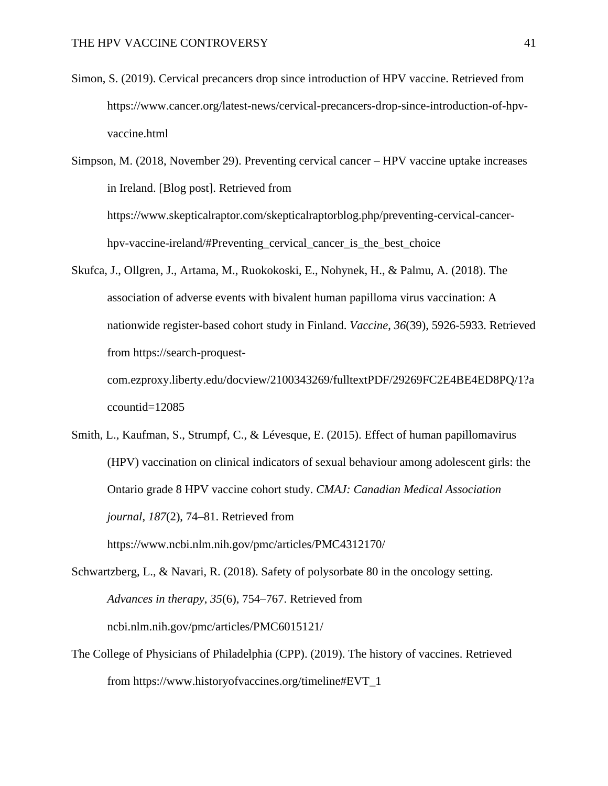Simon, S. (2019). Cervical precancers drop since introduction of HPV vaccine. Retrieved from https://www.cancer.org/latest-news/cervical-precancers-drop-since-introduction-of-hpvvaccine.html

Simpson, M. (2018, November 29). Preventing cervical cancer – HPV vaccine uptake increases in Ireland. [Blog post]. Retrieved from https://www.skepticalraptor.com/skepticalraptorblog.php/preventing-cervical-cancerhpv-vaccine-ireland/#Preventing\_cervical\_cancer\_is\_the\_best\_choice

Skufca, J., Ollgren, J., Artama, M., Ruokokoski, E., Nohynek, H., & Palmu, A. (2018). The association of adverse events with bivalent human papilloma virus vaccination: A nationwide register-based cohort study in Finland. *Vaccine*, *36*(39), 5926-5933. Retrieved from https://search-proquestcom.ezproxy.liberty.edu/docview/2100343269/fulltextPDF/29269FC2E4BE4ED8PQ/1?a

ccountid=12085

Smith, L., Kaufman, S., Strumpf, C., & Lévesque, E. (2015). Effect of human papillomavirus (HPV) vaccination on clinical indicators of sexual behaviour among adolescent girls: the Ontario grade 8 HPV vaccine cohort study. *CMAJ: Canadian Medical Association journal*, *187*(2), 74–81. Retrieved from

https://www.ncbi.nlm.nih.gov/pmc/articles/PMC4312170/

- Schwartzberg, L., & Navari, R. (2018). Safety of polysorbate 80 in the oncology setting. *Advances in therapy*, *35*(6), 754–767. Retrieved from ncbi.nlm.nih.gov/pmc/articles/PMC6015121/
- The College of Physicians of Philadelphia (CPP). (2019). The history of vaccines. Retrieved from https://www.historyofvaccines.org/timeline#EVT\_1